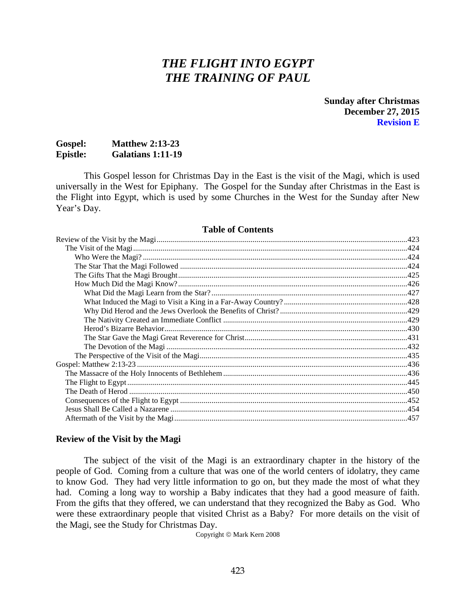# *THE FLIGHT INTO EGYPT THE TRAINING OF PAUL*

**Sunday after Christmas December 27, 2015 Revision E**

# **Gospel: Matthew 2:13-23 Epistle: Galatians 1:11-19**

This Gospel lesson for Christmas Day in the East is the visit of the Magi, which is used universally in the West for Epiphany. The Gospel for the Sunday after Christmas in the East is the Flight into Egypt, which is used by some Churches in the West for the Sunday after New Year's Day.

# **Table of Contents**

#### <span id="page-0-0"></span>**Review of the Visit by the Magi**

The subject of the visit of the Magi is an extraordinary chapter in the history of the people of God. Coming from a culture that was one of the world centers of idolatry, they came to know God. They had very little information to go on, but they made the most of what they had. Coming a long way to worship a Baby indicates that they had a good measure of faith. From the gifts that they offered, we can understand that they recognized the Baby as God. Who were these extraordinary people that visited Christ as a Baby? For more details on the visit of the Magi, see the Study for Christmas Day.

Copyright  $\circ$  Mark Kern 2008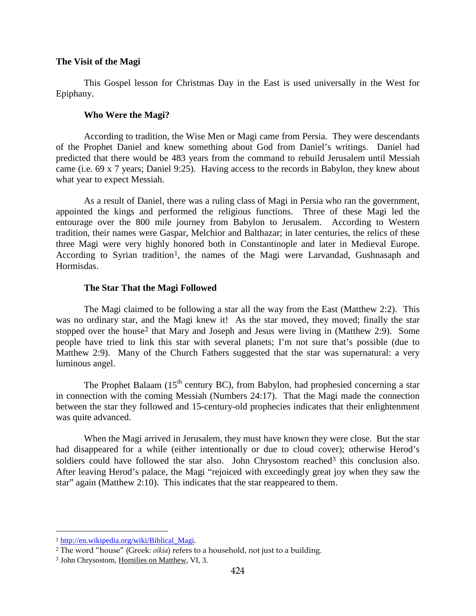# <span id="page-1-0"></span>**The Visit of the Magi**

This Gospel lesson for Christmas Day in the East is used universally in the West for Epiphany.

# **Who Were the Magi?**

<span id="page-1-1"></span>According to tradition, the Wise Men or Magi came from Persia. They were descendants of the Prophet Daniel and knew something about God from Daniel's writings. Daniel had predicted that there would be 483 years from the command to rebuild Jerusalem until Messiah came (i.e. 69 x 7 years; Daniel 9:25). Having access to the records in Babylon, they knew about what year to expect Messiah.

As a result of Daniel, there was a ruling class of Magi in Persia who ran the government, appointed the kings and performed the religious functions. Three of these Magi led the entourage over the 800 mile journey from Babylon to Jerusalem. According to Western tradition, their names were Gaspar, Melchior and Balthazar; in later centuries, the relics of these three Magi were very highly honored both in Constantinople and later in Medieval Europe. According to Syrian tradition<sup>[1](#page-1-4)</sup>, the names of the Magi were Larvandad, Gushnasaph and Hormisdas.

# **The Star That the Magi Followed**

<span id="page-1-2"></span>The Magi claimed to be following a star all the way from the East (Matthew 2:2). This was no ordinary star, and the Magi knew it! As the star moved, they moved; finally the star stopped over the house<sup>[2](#page-1-5)</sup> that Mary and Joseph and Jesus were living in (Matthew 2:9). Some people have tried to link this star with several planets; I'm not sure that's possible (due to Matthew 2:9). Many of the Church Fathers suggested that the star was supernatural: a very luminous angel.

The Prophet Balaam  $(15<sup>th</sup>$  century BC), from Babylon, had prophesied concerning a star in connection with the coming Messiah (Numbers 24:17). That the Magi made the connection between the star they followed and 15-century-old prophecies indicates that their enlightenment was quite advanced.

When the Magi arrived in Jerusalem, they must have known they were close. But the star had disappeared for a while (either intentionally or due to cloud cover); otherwise Herod's soldiers could have followed the star also. John Chrysostom reached<sup>[3](#page-1-6)</sup> this conclusion also. After leaving Herod's palace, the Magi "rejoiced with exceedingly great joy when they saw the star" again (Matthew 2:10). This indicates that the star reappeared to them.

<span id="page-1-4"></span><span id="page-1-3"></span> <sup>1</sup> [http://en.wikipedia.org/wiki/Biblical\\_Magi.](http://en.wikipedia.org/wiki/Biblical_Magi)

<span id="page-1-5"></span><sup>2</sup> The word "house" (Greek: *oikia*) refers to a household, not just to a building.

<span id="page-1-6"></span><sup>3</sup> John Chrysostom, Homilies on Matthew, VI, 3.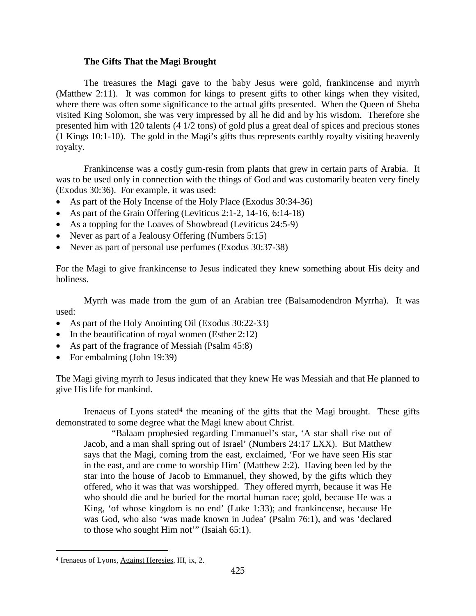# **The Gifts That the Magi Brought**

The treasures the Magi gave to the baby Jesus were gold, frankincense and myrrh (Matthew 2:11). It was common for kings to present gifts to other kings when they visited, where there was often some significance to the actual gifts presented. When the Queen of Sheba visited King Solomon, she was very impressed by all he did and by his wisdom. Therefore she presented him with 120 talents (4 1/2 tons) of gold plus a great deal of spices and precious stones (1 Kings 10:1-10). The gold in the Magi's gifts thus represents earthly royalty visiting heavenly royalty.

Frankincense was a costly gum-resin from plants that grew in certain parts of Arabia. It was to be used only in connection with the things of God and was customarily beaten very finely (Exodus 30:36). For example, it was used:

- As part of the Holy Incense of the Holy Place (Exodus 30:34-36)
- As part of the Grain Offering (Leviticus 2:1-2, 14-16, 6:14-18)
- As a topping for the Loaves of Showbread (Leviticus 24:5-9)
- Never as part of a Jealousy Offering (Numbers 5:15)
- Never as part of personal use perfumes (Exodus 30:37-38)

For the Magi to give frankincense to Jesus indicated they knew something about His deity and holiness.

Myrrh was made from the gum of an Arabian tree (Balsamodendron Myrrha). It was used:

- As part of the Holy Anointing Oil (Exodus 30:22-33)
- In the beautification of royal women (Esther 2:12)
- As part of the fragrance of Messiah (Psalm 45:8)
- For embalming (John 19:39)

The Magi giving myrrh to Jesus indicated that they knew He was Messiah and that He planned to give His life for mankind.

Irenaeus of Lyons stated<sup>[4](#page-2-0)</sup> the meaning of the gifts that the Magi brought. These gifts demonstrated to some degree what the Magi knew about Christ.

"Balaam prophesied regarding Emmanuel's star, 'A star shall rise out of Jacob, and a man shall spring out of Israel' (Numbers 24:17 LXX). But Matthew says that the Magi, coming from the east, exclaimed, 'For we have seen His star in the east, and are come to worship Him' (Matthew 2:2). Having been led by the star into the house of Jacob to Emmanuel, they showed, by the gifts which they offered, who it was that was worshipped. They offered myrrh, because it was He who should die and be buried for the mortal human race; gold, because He was a King, 'of whose kingdom is no end' (Luke 1:33); and frankincense, because He was God, who also 'was made known in Judea' (Psalm 76:1), and was 'declared to those who sought Him not'" (Isaiah 65:1).

<span id="page-2-0"></span> <sup>4</sup> Irenaeus of Lyons, Against Heresies, III, ix, 2.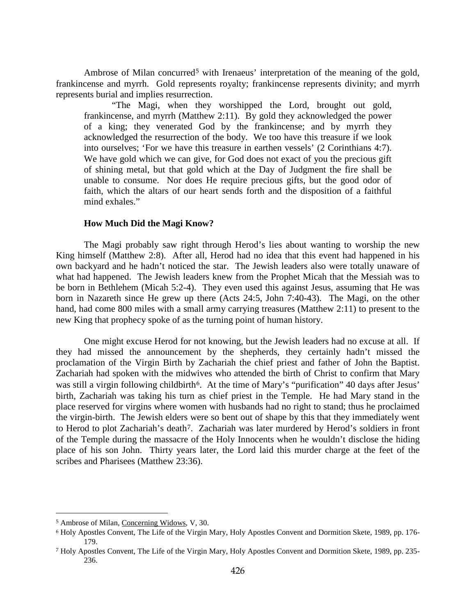Ambrose of Milan concurred<sup>[5](#page-3-1)</sup> with Irenaeus' interpretation of the meaning of the gold, frankincense and myrrh. Gold represents royalty; frankincense represents divinity; and myrrh represents burial and implies resurrection.

"The Magi, when they worshipped the Lord, brought out gold, frankincense, and myrrh (Matthew 2:11). By gold they acknowledged the power of a king; they venerated God by the frankincense; and by myrrh they acknowledged the resurrection of the body. We too have this treasure if we look into ourselves; 'For we have this treasure in earthen vessels' (2 Corinthians 4:7). We have gold which we can give, for God does not exact of you the precious gift of shining metal, but that gold which at the Day of Judgment the fire shall be unable to consume. Nor does He require precious gifts, but the good odor of faith, which the altars of our heart sends forth and the disposition of a faithful mind exhales."

#### **How Much Did the Magi Know?**

<span id="page-3-0"></span>The Magi probably saw right through Herod's lies about wanting to worship the new King himself (Matthew 2:8). After all, Herod had no idea that this event had happened in his own backyard and he hadn't noticed the star. The Jewish leaders also were totally unaware of what had happened. The Jewish leaders knew from the Prophet Micah that the Messiah was to be born in Bethlehem (Micah 5:2-4). They even used this against Jesus, assuming that He was born in Nazareth since He grew up there (Acts 24:5, John 7:40-43). The Magi, on the other hand, had come 800 miles with a small army carrying treasures (Matthew 2:11) to present to the new King that prophecy spoke of as the turning point of human history.

One might excuse Herod for not knowing, but the Jewish leaders had no excuse at all. If they had missed the announcement by the shepherds, they certainly hadn't missed the proclamation of the Virgin Birth by Zachariah the chief priest and father of John the Baptist. Zachariah had spoken with the midwives who attended the birth of Christ to confirm that Mary was still a virgin following childbirth<sup>[6](#page-3-2)</sup>. At the time of Mary's "purification" 40 days after Jesus' birth, Zachariah was taking his turn as chief priest in the Temple. He had Mary stand in the place reserved for virgins where women with husbands had no right to stand; thus he proclaimed the virgin-birth. The Jewish elders were so bent out of shape by this that they immediately went to Herod to plot Zachariah's death<sup>[7](#page-3-3)</sup>. Zachariah was later murdered by Herod's soldiers in front of the Temple during the massacre of the Holy Innocents when he wouldn't disclose the hiding place of his son John. Thirty years later, the Lord laid this murder charge at the feet of the scribes and Pharisees (Matthew 23:36).

<span id="page-3-1"></span> <sup>5</sup> Ambrose of Milan, Concerning Widows, V, 30.

<span id="page-3-2"></span><sup>6</sup> Holy Apostles Convent, The Life of the Virgin Mary, Holy Apostles Convent and Dormition Skete, 1989, pp. 176- 179.

<span id="page-3-3"></span><sup>7</sup> Holy Apostles Convent, The Life of the Virgin Mary, Holy Apostles Convent and Dormition Skete, 1989, pp. 235- 236.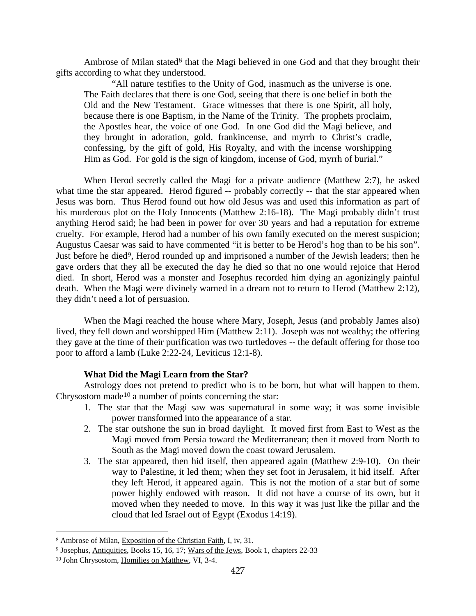Ambrose of Milan stated<sup>[8](#page-4-1)</sup> that the Magi believed in one God and that they brought their gifts according to what they understood.

"All nature testifies to the Unity of God, inasmuch as the universe is one. The Faith declares that there is one God, seeing that there is one belief in both the Old and the New Testament. Grace witnesses that there is one Spirit, all holy, because there is one Baptism, in the Name of the Trinity. The prophets proclaim, the Apostles hear, the voice of one God. In one God did the Magi believe, and they brought in adoration, gold, frankincense, and myrrh to Christ's cradle, confessing, by the gift of gold, His Royalty, and with the incense worshipping Him as God. For gold is the sign of kingdom, incense of God, myrrh of burial."

When Herod secretly called the Magi for a private audience (Matthew 2:7), he asked what time the star appeared. Herod figured -- probably correctly -- that the star appeared when Jesus was born. Thus Herod found out how old Jesus was and used this information as part of his murderous plot on the Holy Innocents (Matthew 2:16-18). The Magi probably didn't trust anything Herod said; he had been in power for over 30 years and had a reputation for extreme cruelty. For example, Herod had a number of his own family executed on the merest suspicion; Augustus Caesar was said to have commented "it is better to be Herod's hog than to be his son". Just before he died<sup>[9](#page-4-2)</sup>, Herod rounded up and imprisoned a number of the Jewish leaders; then he gave orders that they all be executed the day he died so that no one would rejoice that Herod died. In short, Herod was a monster and Josephus recorded him dying an agonizingly painful death. When the Magi were divinely warned in a dream not to return to Herod (Matthew 2:12), they didn't need a lot of persuasion.

When the Magi reached the house where Mary, Joseph, Jesus (and probably James also) lived, they fell down and worshipped Him (Matthew 2:11). Joseph was not wealthy; the offering they gave at the time of their purification was two turtledoves -- the default offering for those too poor to afford a lamb (Luke 2:22-24, Leviticus 12:1-8).

# **What Did the Magi Learn from the Star?**

<span id="page-4-0"></span>Astrology does not pretend to predict who is to be born, but what will happen to them. Chrysostom made<sup>[10](#page-4-3)</sup> a number of points concerning the star:

- 1. The star that the Magi saw was supernatural in some way; it was some invisible power transformed into the appearance of a star.
- 2. The star outshone the sun in broad daylight. It moved first from East to West as the Magi moved from Persia toward the Mediterranean; then it moved from North to South as the Magi moved down the coast toward Jerusalem.
- 3. The star appeared, then hid itself, then appeared again (Matthew 2:9-10). On their way to Palestine, it led them; when they set foot in Jerusalem, it hid itself. After they left Herod, it appeared again. This is not the motion of a star but of some power highly endowed with reason. It did not have a course of its own, but it moved when they needed to move. In this way it was just like the pillar and the cloud that led Israel out of Egypt (Exodus 14:19).

<span id="page-4-1"></span> <sup>8</sup> Ambrose of Milan, Exposition of the Christian Faith, I, iv, 31.

<span id="page-4-2"></span><sup>9</sup> Josephus, Antiquities, Books 15, 16, 17; Wars of the Jews, Book 1, chapters 22-33

<span id="page-4-3"></span><sup>10</sup> John Chrysostom, Homilies on Matthew, VI, 3-4.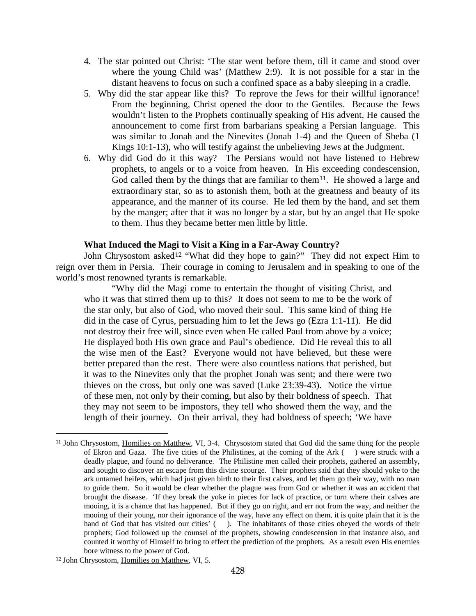- 4. The star pointed out Christ: 'The star went before them, till it came and stood over where the young Child was' (Matthew 2:9). It is not possible for a star in the distant heavens to focus on such a confined space as a baby sleeping in a cradle.
- 5. Why did the star appear like this? To reprove the Jews for their willful ignorance! From the beginning, Christ opened the door to the Gentiles. Because the Jews wouldn't listen to the Prophets continually speaking of His advent, He caused the announcement to come first from barbarians speaking a Persian language. This was similar to Jonah and the Ninevites (Jonah 1-4) and the Queen of Sheba (1 Kings 10:1-13), who will testify against the unbelieving Jews at the Judgment.
- 6. Why did God do it this way? The Persians would not have listened to Hebrew prophets, to angels or to a voice from heaven. In His exceeding condescension, God called them by the things that are familiar to them<sup>[11](#page-5-1)</sup>. He showed a large and extraordinary star, so as to astonish them, both at the greatness and beauty of its appearance, and the manner of its course. He led them by the hand, and set them by the manger; after that it was no longer by a star, but by an angel that He spoke to them. Thus they became better men little by little.

#### **What Induced the Magi to Visit a King in a Far-Away Country?**

<span id="page-5-0"></span>John Chrysostom asked<sup>[12](#page-5-2)</sup> "What did they hope to gain?" They did not expect Him to reign over them in Persia. Their courage in coming to Jerusalem and in speaking to one of the world's most renowned tyrants is remarkable.

"Why did the Magi come to entertain the thought of visiting Christ, and who it was that stirred them up to this? It does not seem to me to be the work of the star only, but also of God, who moved their soul. This same kind of thing He did in the case of Cyrus, persuading him to let the Jews go (Ezra 1:1-11). He did not destroy their free will, since even when He called Paul from above by a voice; He displayed both His own grace and Paul's obedience. Did He reveal this to all the wise men of the East? Everyone would not have believed, but these were better prepared than the rest. There were also countless nations that perished, but it was to the Ninevites only that the prophet Jonah was sent; and there were two thieves on the cross, but only one was saved (Luke 23:39-43). Notice the virtue of these men, not only by their coming, but also by their boldness of speech. That they may not seem to be impostors, they tell who showed them the way, and the length of their journey. On their arrival, they had boldness of speech; 'We have

<span id="page-5-1"></span><sup>&</sup>lt;sup>11</sup> John Chrysostom, Homilies on Matthew, VI, 3-4. Chrysostom stated that God did the same thing for the people of Ekron and Gaza. The five cities of the Philistines, at the coming of the Ark ( ) were struck with a deadly plague, and found no deliverance. The Philistine men called their prophets, gathered an assembly, and sought to discover an escape from this divine scourge. Their prophets said that they should yoke to the ark untamed heifers, which had just given birth to their first calves, and let them go their way, with no man to guide them. So it would be clear whether the plague was from God or whether it was an accident that brought the disease. 'If they break the yoke in pieces for lack of practice, or turn where their calves are mooing, it is a chance that has happened. But if they go on right, and err not from the way, and neither the mooing of their young, nor their ignorance of the way, have any effect on them, it is quite plain that it is the hand of God that has visited our cities' (). The inhabitants of those cities obeyed the words of their prophets; God followed up the counsel of the prophets, showing condescension in that instance also, and counted it worthy of Himself to bring to effect the prediction of the prophets. As a result even His enemies bore witness to the power of God.

<span id="page-5-2"></span><sup>12</sup> John Chrysostom, Homilies on Matthew, VI, 5.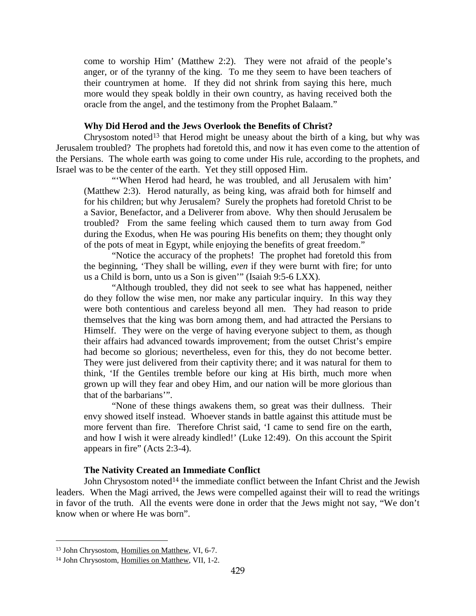come to worship Him' (Matthew 2:2). They were not afraid of the people's anger, or of the tyranny of the king. To me they seem to have been teachers of their countrymen at home. If they did not shrink from saying this here, much more would they speak boldly in their own country, as having received both the oracle from the angel, and the testimony from the Prophet Balaam."

# **Why Did Herod and the Jews Overlook the Benefits of Christ?**

<span id="page-6-0"></span>Chrysostom noted<sup>[13](#page-6-2)</sup> that Herod might be uneasy about the birth of a king, but why was Jerusalem troubled? The prophets had foretold this, and now it has even come to the attention of the Persians. The whole earth was going to come under His rule, according to the prophets, and Israel was to be the center of the earth. Yet they still opposed Him.

"'When Herod had heard, he was troubled, and all Jerusalem with him' (Matthew 2:3). Herod naturally, as being king, was afraid both for himself and for his children; but why Jerusalem? Surely the prophets had foretold Christ to be a Savior, Benefactor, and a Deliverer from above. Why then should Jerusalem be troubled? From the same feeling which caused them to turn away from God during the Exodus, when He was pouring His benefits on them; they thought only of the pots of meat in Egypt, while enjoying the benefits of great freedom."

"Notice the accuracy of the prophets! The prophet had foretold this from the beginning, 'They shall be willing, *even* if they were burnt with fire; for unto us a Child is born, unto us a Son is given'" (Isaiah 9:5-6 LXX).

"Although troubled, they did not seek to see what has happened, neither do they follow the wise men, nor make any particular inquiry. In this way they were both contentious and careless beyond all men. They had reason to pride themselves that the king was born among them, and had attracted the Persians to Himself. They were on the verge of having everyone subject to them, as though their affairs had advanced towards improvement; from the outset Christ's empire had become so glorious; nevertheless, even for this, they do not become better. They were just delivered from their captivity there; and it was natural for them to think, 'If the Gentiles tremble before our king at His birth, much more when grown up will they fear and obey Him, and our nation will be more glorious than that of the barbarians'".

"None of these things awakens them, so great was their dullness. Their envy showed itself instead. Whoever stands in battle against this attitude must be more fervent than fire. Therefore Christ said, 'I came to send fire on the earth, and how I wish it were already kindled!' (Luke 12:49). On this account the Spirit appears in fire" (Acts 2:3-4).

#### **The Nativity Created an Immediate Conflict**

<span id="page-6-1"></span>John Chrysostom noted<sup>[14](#page-6-3)</sup> the immediate conflict between the Infant Christ and the Jewish leaders. When the Magi arrived, the Jews were compelled against their will to read the writings in favor of the truth. All the events were done in order that the Jews might not say, "We don't know when or where He was born".

<span id="page-6-2"></span> <sup>13</sup> John Chrysostom, Homilies on Matthew, VI, 6-7.

<span id="page-6-3"></span><sup>14</sup> John Chrysostom, Homilies on Matthew, VII, 1-2.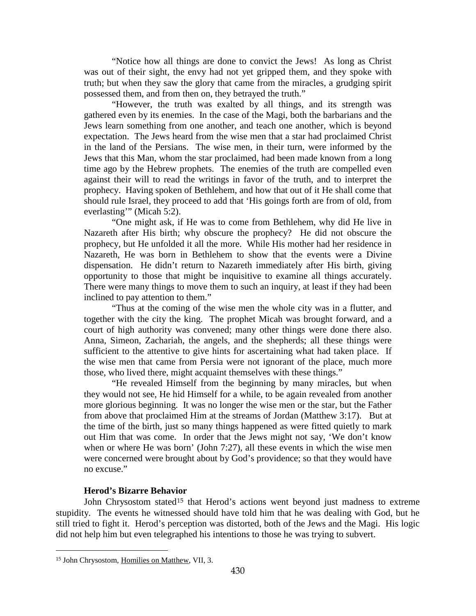"Notice how all things are done to convict the Jews! As long as Christ was out of their sight, the envy had not yet gripped them, and they spoke with truth; but when they saw the glory that came from the miracles, a grudging spirit possessed them, and from then on, they betrayed the truth."

"However, the truth was exalted by all things, and its strength was gathered even by its enemies. In the case of the Magi, both the barbarians and the Jews learn something from one another, and teach one another, which is beyond expectation. The Jews heard from the wise men that a star had proclaimed Christ in the land of the Persians. The wise men, in their turn, were informed by the Jews that this Man, whom the star proclaimed, had been made known from a long time ago by the Hebrew prophets. The enemies of the truth are compelled even against their will to read the writings in favor of the truth, and to interpret the prophecy. Having spoken of Bethlehem, and how that out of it He shall come that should rule Israel, they proceed to add that 'His goings forth are from of old, from everlasting'" (Micah 5:2).

"One might ask, if He was to come from Bethlehem, why did He live in Nazareth after His birth; why obscure the prophecy? He did not obscure the prophecy, but He unfolded it all the more. While His mother had her residence in Nazareth, He was born in Bethlehem to show that the events were a Divine dispensation. He didn't return to Nazareth immediately after His birth, giving opportunity to those that might be inquisitive to examine all things accurately. There were many things to move them to such an inquiry, at least if they had been inclined to pay attention to them."

"Thus at the coming of the wise men the whole city was in a flutter, and together with the city the king. The prophet Micah was brought forward, and a court of high authority was convened; many other things were done there also. Anna, Simeon, Zachariah, the angels, and the shepherds; all these things were sufficient to the attentive to give hints for ascertaining what had taken place. If the wise men that came from Persia were not ignorant of the place, much more those, who lived there, might acquaint themselves with these things."

"He revealed Himself from the beginning by many miracles, but when they would not see, He hid Himself for a while, to be again revealed from another more glorious beginning. It was no longer the wise men or the star, but the Father from above that proclaimed Him at the streams of Jordan (Matthew 3:17). But at the time of the birth, just so many things happened as were fitted quietly to mark out Him that was come. In order that the Jews might not say, 'We don't know when or where He was born' (John 7:27), all these events in which the wise men were concerned were brought about by God's providence; so that they would have no excuse."

# **Herod's Bizarre Behavior**

<span id="page-7-0"></span>John Chrysostom stated<sup>[15](#page-7-1)</sup> that Herod's actions went beyond just madness to extreme stupidity. The events he witnessed should have told him that he was dealing with God, but he still tried to fight it. Herod's perception was distorted, both of the Jews and the Magi. His logic did not help him but even telegraphed his intentions to those he was trying to subvert.

<span id="page-7-1"></span> <sup>15</sup> John Chrysostom, Homilies on Matthew, VII, 3.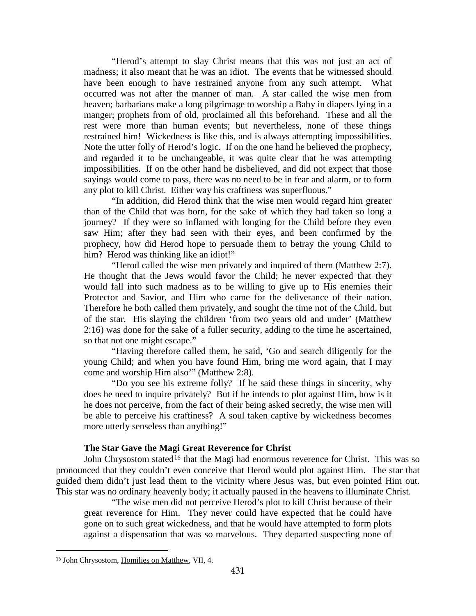"Herod's attempt to slay Christ means that this was not just an act of madness; it also meant that he was an idiot. The events that he witnessed should have been enough to have restrained anyone from any such attempt. What occurred was not after the manner of man. A star called the wise men from heaven; barbarians make a long pilgrimage to worship a Baby in diapers lying in a manger; prophets from of old, proclaimed all this beforehand. These and all the rest were more than human events; but nevertheless, none of these things restrained him! Wickedness is like this, and is always attempting impossibilities. Note the utter folly of Herod's logic. If on the one hand he believed the prophecy, and regarded it to be unchangeable, it was quite clear that he was attempting impossibilities. If on the other hand he disbelieved, and did not expect that those sayings would come to pass, there was no need to be in fear and alarm, or to form any plot to kill Christ. Either way his craftiness was superfluous."

"In addition, did Herod think that the wise men would regard him greater than of the Child that was born, for the sake of which they had taken so long a journey? If they were so inflamed with longing for the Child before they even saw Him; after they had seen with their eyes, and been confirmed by the prophecy, how did Herod hope to persuade them to betray the young Child to him? Herod was thinking like an idiot!"

"Herod called the wise men privately and inquired of them (Matthew 2:7). He thought that the Jews would favor the Child; he never expected that they would fall into such madness as to be willing to give up to His enemies their Protector and Savior, and Him who came for the deliverance of their nation. Therefore he both called them privately, and sought the time not of the Child, but of the star. His slaying the children 'from two years old and under' (Matthew 2:16) was done for the sake of a fuller security, adding to the time he ascertained, so that not one might escape."

"Having therefore called them, he said, 'Go and search diligently for the young Child; and when you have found Him, bring me word again, that I may come and worship Him also'" (Matthew 2:8).

"Do you see his extreme folly? If he said these things in sincerity, why does he need to inquire privately? But if he intends to plot against Him, how is it he does not perceive, from the fact of their being asked secretly, the wise men will be able to perceive his craftiness? A soul taken captive by wickedness becomes more utterly senseless than anything!"

# **The Star Gave the Magi Great Reverence for Christ**

<span id="page-8-0"></span>John Chrysostom stated<sup>[16](#page-8-1)</sup> that the Magi had enormous reverence for Christ. This was so pronounced that they couldn't even conceive that Herod would plot against Him. The star that guided them didn't just lead them to the vicinity where Jesus was, but even pointed Him out. This star was no ordinary heavenly body; it actually paused in the heavens to illuminate Christ.

"The wise men did not perceive Herod's plot to kill Christ because of their great reverence for Him. They never could have expected that he could have gone on to such great wickedness, and that he would have attempted to form plots against a dispensation that was so marvelous. They departed suspecting none of

<span id="page-8-1"></span> <sup>16</sup> John Chrysostom, Homilies on Matthew, VII, 4.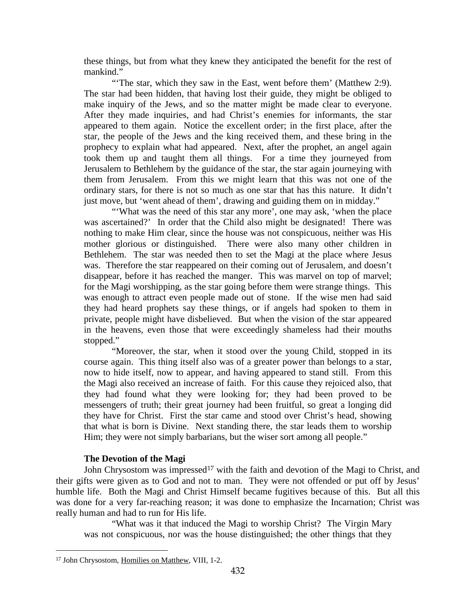these things, but from what they knew they anticipated the benefit for the rest of mankind."

"The star, which they saw in the East, went before them' (Matthew 2:9). The star had been hidden, that having lost their guide, they might be obliged to make inquiry of the Jews, and so the matter might be made clear to everyone. After they made inquiries, and had Christ's enemies for informants, the star appeared to them again. Notice the excellent order; in the first place, after the star, the people of the Jews and the king received them, and these bring in the prophecy to explain what had appeared. Next, after the prophet, an angel again took them up and taught them all things. For a time they journeyed from Jerusalem to Bethlehem by the guidance of the star, the star again journeying with them from Jerusalem. From this we might learn that this was not one of the ordinary stars, for there is not so much as one star that has this nature. It didn't just move, but 'went ahead of them', drawing and guiding them on in midday."

"What was the need of this star any more', one may ask, 'when the place was ascertained?' In order that the Child also might be designated! There was nothing to make Him clear, since the house was not conspicuous, neither was His mother glorious or distinguished. There were also many other children in Bethlehem. The star was needed then to set the Magi at the place where Jesus was. Therefore the star reappeared on their coming out of Jerusalem, and doesn't disappear, before it has reached the manger. This was marvel on top of marvel; for the Magi worshipping, as the star going before them were strange things. This was enough to attract even people made out of stone. If the wise men had said they had heard prophets say these things, or if angels had spoken to them in private, people might have disbelieved. But when the vision of the star appeared in the heavens, even those that were exceedingly shameless had their mouths stopped."

"Moreover, the star, when it stood over the young Child, stopped in its course again. This thing itself also was of a greater power than belongs to a star, now to hide itself, now to appear, and having appeared to stand still. From this the Magi also received an increase of faith. For this cause they rejoiced also, that they had found what they were looking for; they had been proved to be messengers of truth; their great journey had been fruitful, so great a longing did they have for Christ. First the star came and stood over Christ's head, showing that what is born is Divine. Next standing there, the star leads them to worship Him; they were not simply barbarians, but the wiser sort among all people."

# **The Devotion of the Magi**

<span id="page-9-0"></span>John Chrysostom was impressed<sup>[17](#page-9-1)</sup> with the faith and devotion of the Magi to Christ, and their gifts were given as to God and not to man. They were not offended or put off by Jesus' humble life. Both the Magi and Christ Himself became fugitives because of this. But all this was done for a very far-reaching reason; it was done to emphasize the Incarnation; Christ was really human and had to run for His life.

"What was it that induced the Magi to worship Christ? The Virgin Mary was not conspicuous, nor was the house distinguished; the other things that they

<span id="page-9-1"></span> <sup>17</sup> John Chrysostom, Homilies on Matthew, VIII, 1-2.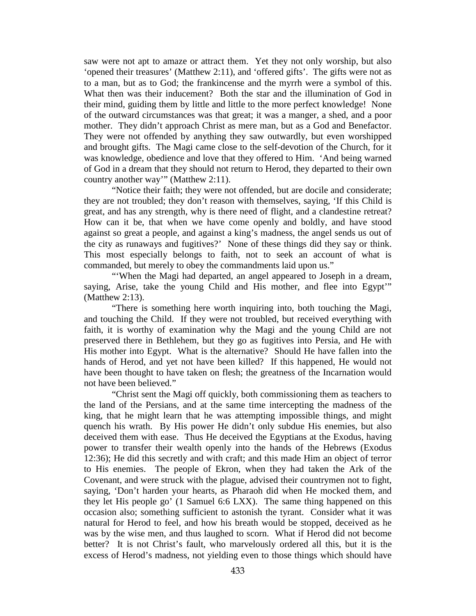saw were not apt to amaze or attract them. Yet they not only worship, but also 'opened their treasures' (Matthew 2:11), and 'offered gifts'. The gifts were not as to a man, but as to God; the frankincense and the myrrh were a symbol of this. What then was their inducement? Both the star and the illumination of God in their mind, guiding them by little and little to the more perfect knowledge! None of the outward circumstances was that great; it was a manger, a shed, and a poor mother. They didn't approach Christ as mere man, but as a God and Benefactor. They were not offended by anything they saw outwardly, but even worshipped and brought gifts. The Magi came close to the self-devotion of the Church, for it was knowledge, obedience and love that they offered to Him. 'And being warned of God in a dream that they should not return to Herod, they departed to their own country another way'" (Matthew 2:11).

"Notice their faith; they were not offended, but are docile and considerate; they are not troubled; they don't reason with themselves, saying, 'If this Child is great, and has any strength, why is there need of flight, and a clandestine retreat? How can it be, that when we have come openly and boldly, and have stood against so great a people, and against a king's madness, the angel sends us out of the city as runaways and fugitives?' None of these things did they say or think. This most especially belongs to faith, not to seek an account of what is commanded, but merely to obey the commandments laid upon us."

"'When the Magi had departed, an angel appeared to Joseph in a dream, saying, Arise, take the young Child and His mother, and flee into Egypt" (Matthew 2:13).

"There is something here worth inquiring into, both touching the Magi, and touching the Child. If they were not troubled, but received everything with faith, it is worthy of examination why the Magi and the young Child are not preserved there in Bethlehem, but they go as fugitives into Persia, and He with His mother into Egypt. What is the alternative? Should He have fallen into the hands of Herod, and yet not have been killed? If this happened, He would not have been thought to have taken on flesh; the greatness of the Incarnation would not have been believed."

"Christ sent the Magi off quickly, both commissioning them as teachers to the land of the Persians, and at the same time intercepting the madness of the king, that he might learn that he was attempting impossible things, and might quench his wrath. By His power He didn't only subdue His enemies, but also deceived them with ease. Thus He deceived the Egyptians at the Exodus, having power to transfer their wealth openly into the hands of the Hebrews (Exodus 12:36); He did this secretly and with craft; and this made Him an object of terror to His enemies. The people of Ekron, when they had taken the Ark of the Covenant, and were struck with the plague, advised their countrymen not to fight, saying, 'Don't harden your hearts, as Pharaoh did when He mocked them, and they let His people go' (1 Samuel 6:6 LXX). The same thing happened on this occasion also; something sufficient to astonish the tyrant. Consider what it was natural for Herod to feel, and how his breath would be stopped, deceived as he was by the wise men, and thus laughed to scorn. What if Herod did not become better? It is not Christ's fault, who marvelously ordered all this, but it is the excess of Herod's madness, not yielding even to those things which should have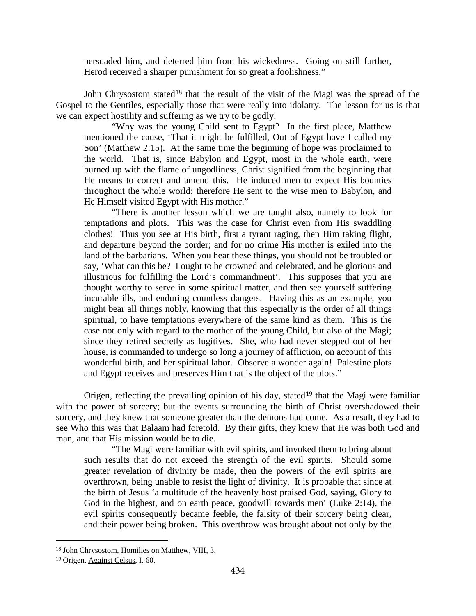persuaded him, and deterred him from his wickedness. Going on still further, Herod received a sharper punishment for so great a foolishness."

John Chrysostom stated<sup>[18](#page-11-0)</sup> that the result of the visit of the Magi was the spread of the Gospel to the Gentiles, especially those that were really into idolatry. The lesson for us is that we can expect hostility and suffering as we try to be godly.

"Why was the young Child sent to Egypt? In the first place, Matthew mentioned the cause, 'That it might be fulfilled, Out of Egypt have I called my Son' (Matthew 2:15). At the same time the beginning of hope was proclaimed to the world. That is, since Babylon and Egypt, most in the whole earth, were burned up with the flame of ungodliness, Christ signified from the beginning that He means to correct and amend this. He induced men to expect His bounties throughout the whole world; therefore He sent to the wise men to Babylon, and He Himself visited Egypt with His mother."

"There is another lesson which we are taught also, namely to look for temptations and plots. This was the case for Christ even from His swaddling clothes! Thus you see at His birth, first a tyrant raging, then Him taking flight, and departure beyond the border; and for no crime His mother is exiled into the land of the barbarians. When you hear these things, you should not be troubled or say, 'What can this be? I ought to be crowned and celebrated, and be glorious and illustrious for fulfilling the Lord's commandment'. This supposes that you are thought worthy to serve in some spiritual matter, and then see yourself suffering incurable ills, and enduring countless dangers. Having this as an example, you might bear all things nobly, knowing that this especially is the order of all things spiritual, to have temptations everywhere of the same kind as them. This is the case not only with regard to the mother of the young Child, but also of the Magi; since they retired secretly as fugitives. She, who had never stepped out of her house, is commanded to undergo so long a journey of affliction, on account of this wonderful birth, and her spiritual labor. Observe a wonder again! Palestine plots and Egypt receives and preserves Him that is the object of the plots."

Origen, reflecting the prevailing opinion of his day, stated<sup>[19](#page-11-1)</sup> that the Magi were familiar with the power of sorcery; but the events surrounding the birth of Christ overshadowed their sorcery, and they knew that someone greater than the demons had come. As a result, they had to see Who this was that Balaam had foretold. By their gifts, they knew that He was both God and man, and that His mission would be to die.

"The Magi were familiar with evil spirits, and invoked them to bring about such results that do not exceed the strength of the evil spirits. Should some greater revelation of divinity be made, then the powers of the evil spirits are overthrown, being unable to resist the light of divinity. It is probable that since at the birth of Jesus 'a multitude of the heavenly host praised God, saying, Glory to God in the highest, and on earth peace, goodwill towards men' (Luke 2:14), the evil spirits consequently became feeble, the falsity of their sorcery being clear, and their power being broken. This overthrow was brought about not only by the

<span id="page-11-0"></span> <sup>18</sup> John Chrysostom, Homilies on Matthew, VIII, 3.

<span id="page-11-1"></span><sup>19</sup> Origen, Against Celsus, I, 60.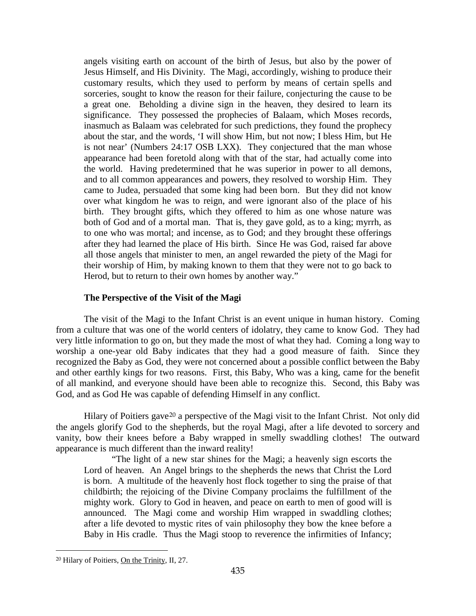angels visiting earth on account of the birth of Jesus, but also by the power of Jesus Himself, and His Divinity. The Magi, accordingly, wishing to produce their customary results, which they used to perform by means of certain spells and sorceries, sought to know the reason for their failure, conjecturing the cause to be a great one. Beholding a divine sign in the heaven, they desired to learn its significance. They possessed the prophecies of Balaam, which Moses records, inasmuch as Balaam was celebrated for such predictions, they found the prophecy about the star, and the words, 'I will show Him, but not now; I bless Him, but He is not near' (Numbers 24:17 OSB LXX). They conjectured that the man whose appearance had been foretold along with that of the star, had actually come into the world. Having predetermined that he was superior in power to all demons, and to all common appearances and powers, they resolved to worship Him. They came to Judea, persuaded that some king had been born. But they did not know over what kingdom he was to reign, and were ignorant also of the place of his birth. They brought gifts, which they offered to him as one whose nature was both of God and of a mortal man. That is, they gave gold, as to a king; myrrh, as to one who was mortal; and incense, as to God; and they brought these offerings after they had learned the place of His birth. Since He was God, raised far above all those angels that minister to men, an angel rewarded the piety of the Magi for their worship of Him, by making known to them that they were not to go back to Herod, but to return to their own homes by another way."

# **The Perspective of the Visit of the Magi**

<span id="page-12-0"></span>The visit of the Magi to the Infant Christ is an event unique in human history. Coming from a culture that was one of the world centers of idolatry, they came to know God. They had very little information to go on, but they made the most of what they had. Coming a long way to worship a one-year old Baby indicates that they had a good measure of faith. Since they recognized the Baby as God, they were not concerned about a possible conflict between the Baby and other earthly kings for two reasons. First, this Baby, Who was a king, came for the benefit of all mankind, and everyone should have been able to recognize this. Second, this Baby was God, and as God He was capable of defending Himself in any conflict.

Hilary of Poitiers gave<sup>[20](#page-12-1)</sup> a perspective of the Magi visit to the Infant Christ. Not only did the angels glorify God to the shepherds, but the royal Magi, after a life devoted to sorcery and vanity, bow their knees before a Baby wrapped in smelly swaddling clothes! The outward appearance is much different than the inward reality!

"The light of a new star shines for the Magi; a heavenly sign escorts the Lord of heaven. An Angel brings to the shepherds the news that Christ the Lord is born. A multitude of the heavenly host flock together to sing the praise of that childbirth; the rejoicing of the Divine Company proclaims the fulfillment of the mighty work. Glory to God in heaven, and peace on earth to men of good will is announced. The Magi come and worship Him wrapped in swaddling clothes; after a life devoted to mystic rites of vain philosophy they bow the knee before a Baby in His cradle. Thus the Magi stoop to reverence the infirmities of Infancy;

<span id="page-12-1"></span> <sup>20</sup> Hilary of Poitiers, On the Trinity, II, 27.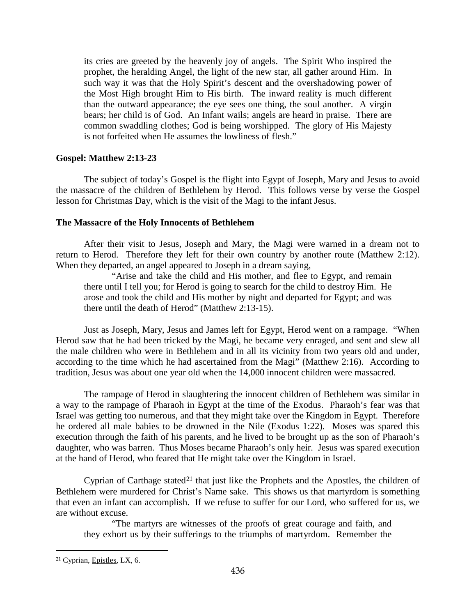its cries are greeted by the heavenly joy of angels. The Spirit Who inspired the prophet, the heralding Angel, the light of the new star, all gather around Him. In such way it was that the Holy Spirit's descent and the overshadowing power of the Most High brought Him to His birth. The inward reality is much different than the outward appearance; the eye sees one thing, the soul another. A virgin bears; her child is of God. An Infant wails; angels are heard in praise. There are common swaddling clothes; God is being worshipped. The glory of His Majesty is not forfeited when He assumes the lowliness of flesh."

# <span id="page-13-0"></span>**Gospel: Matthew 2:13-23**

The subject of today's Gospel is the flight into Egypt of Joseph, Mary and Jesus to avoid the massacre of the children of Bethlehem by Herod. This follows verse by verse the Gospel lesson for Christmas Day, which is the visit of the Magi to the infant Jesus.

# <span id="page-13-1"></span>**The Massacre of the Holy Innocents of Bethlehem**

After their visit to Jesus, Joseph and Mary, the Magi were warned in a dream not to return to Herod. Therefore they left for their own country by another route (Matthew 2:12). When they departed, an angel appeared to Joseph in a dream saying,

"Arise and take the child and His mother, and flee to Egypt, and remain there until I tell you; for Herod is going to search for the child to destroy Him. He arose and took the child and His mother by night and departed for Egypt; and was there until the death of Herod" (Matthew 2:13-15).

Just as Joseph, Mary, Jesus and James left for Egypt, Herod went on a rampage. "When Herod saw that he had been tricked by the Magi, he became very enraged, and sent and slew all the male children who were in Bethlehem and in all its vicinity from two years old and under, according to the time which he had ascertained from the Magi" (Matthew 2:16). According to tradition, Jesus was about one year old when the 14,000 innocent children were massacred.

The rampage of Herod in slaughtering the innocent children of Bethlehem was similar in a way to the rampage of Pharaoh in Egypt at the time of the Exodus. Pharaoh's fear was that Israel was getting too numerous, and that they might take over the Kingdom in Egypt. Therefore he ordered all male babies to be drowned in the Nile (Exodus 1:22). Moses was spared this execution through the faith of his parents, and he lived to be brought up as the son of Pharaoh's daughter, who was barren. Thus Moses became Pharaoh's only heir. Jesus was spared execution at the hand of Herod, who feared that He might take over the Kingdom in Israel.

Cyprian of Carthage stated<sup>[21](#page-13-2)</sup> that just like the Prophets and the Apostles, the children of Bethlehem were murdered for Christ's Name sake. This shows us that martyrdom is something that even an infant can accomplish. If we refuse to suffer for our Lord, who suffered for us, we are without excuse.

"The martyrs are witnesses of the proofs of great courage and faith, and they exhort us by their sufferings to the triumphs of martyrdom. Remember the

<span id="page-13-2"></span> <sup>21</sup> Cyprian, Epistles, LX, 6.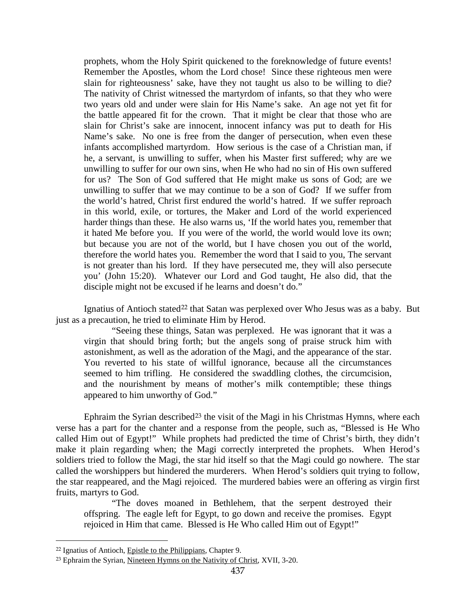prophets, whom the Holy Spirit quickened to the foreknowledge of future events! Remember the Apostles, whom the Lord chose! Since these righteous men were slain for righteousness' sake, have they not taught us also to be willing to die? The nativity of Christ witnessed the martyrdom of infants, so that they who were two years old and under were slain for His Name's sake. An age not yet fit for the battle appeared fit for the crown. That it might be clear that those who are slain for Christ's sake are innocent, innocent infancy was put to death for His Name's sake. No one is free from the danger of persecution, when even these infants accomplished martyrdom. How serious is the case of a Christian man, if he, a servant, is unwilling to suffer, when his Master first suffered; why are we unwilling to suffer for our own sins, when He who had no sin of His own suffered for us? The Son of God suffered that He might make us sons of God; are we unwilling to suffer that we may continue to be a son of God? If we suffer from the world's hatred, Christ first endured the world's hatred. If we suffer reproach in this world, exile, or tortures, the Maker and Lord of the world experienced harder things than these. He also warns us, 'If the world hates you, remember that it hated Me before you. If you were of the world, the world would love its own; but because you are not of the world, but I have chosen you out of the world, therefore the world hates you. Remember the word that I said to you, The servant is not greater than his lord. If they have persecuted me, they will also persecute you' (John 15:20). Whatever our Lord and God taught, He also did, that the disciple might not be excused if he learns and doesn't do."

Ignatius of Antioch stated<sup>[22](#page-14-0)</sup> that Satan was perplexed over Who Jesus was as a baby. But just as a precaution, he tried to eliminate Him by Herod.

"Seeing these things, Satan was perplexed. He was ignorant that it was a virgin that should bring forth; but the angels song of praise struck him with astonishment, as well as the adoration of the Magi, and the appearance of the star. You reverted to his state of willful ignorance, because all the circumstances seemed to him trifling. He considered the swaddling clothes, the circumcision, and the nourishment by means of mother's milk contemptible; these things appeared to him unworthy of God."

Ephraim the Syrian described<sup>[23](#page-14-1)</sup> the visit of the Magi in his Christmas Hymns, where each verse has a part for the chanter and a response from the people, such as, "Blessed is He Who called Him out of Egypt!" While prophets had predicted the time of Christ's birth, they didn't make it plain regarding when; the Magi correctly interpreted the prophets. When Herod's soldiers tried to follow the Magi, the star hid itself so that the Magi could go nowhere. The star called the worshippers but hindered the murderers. When Herod's soldiers quit trying to follow, the star reappeared, and the Magi rejoiced. The murdered babies were an offering as virgin first fruits, martyrs to God.

"The doves moaned in Bethlehem, that the serpent destroyed their offspring. The eagle left for Egypt, to go down and receive the promises. Egypt rejoiced in Him that came. Blessed is He Who called Him out of Egypt!"

<span id="page-14-0"></span> <sup>22</sup> Ignatius of Antioch, Epistle to the Philippians, Chapter 9.

<span id="page-14-1"></span><sup>23</sup> Ephraim the Syrian, Nineteen Hymns on the Nativity of Christ, XVII, 3-20.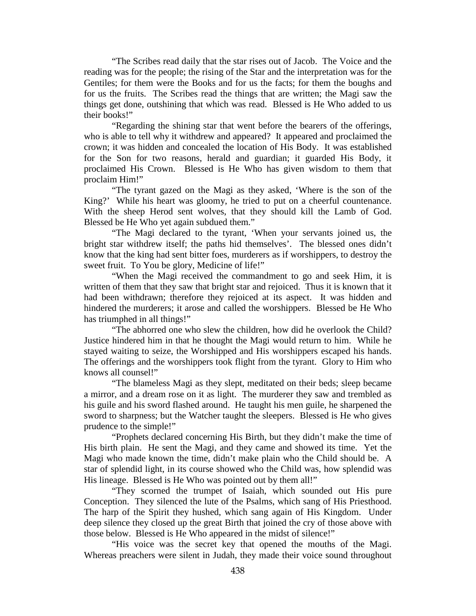"The Scribes read daily that the star rises out of Jacob. The Voice and the reading was for the people; the rising of the Star and the interpretation was for the Gentiles; for them were the Books and for us the facts; for them the boughs and for us the fruits. The Scribes read the things that are written; the Magi saw the things get done, outshining that which was read. Blessed is He Who added to us their books!"

"Regarding the shining star that went before the bearers of the offerings, who is able to tell why it withdrew and appeared? It appeared and proclaimed the crown; it was hidden and concealed the location of His Body. It was established for the Son for two reasons, herald and guardian; it guarded His Body, it proclaimed His Crown. Blessed is He Who has given wisdom to them that proclaim Him!"

"The tyrant gazed on the Magi as they asked, 'Where is the son of the King?' While his heart was gloomy, he tried to put on a cheerful countenance. With the sheep Herod sent wolves, that they should kill the Lamb of God. Blessed be He Who yet again subdued them."

"The Magi declared to the tyrant, 'When your servants joined us, the bright star withdrew itself; the paths hid themselves'. The blessed ones didn't know that the king had sent bitter foes, murderers as if worshippers, to destroy the sweet fruit. To You be glory, Medicine of life!"

"When the Magi received the commandment to go and seek Him, it is written of them that they saw that bright star and rejoiced. Thus it is known that it had been withdrawn; therefore they rejoiced at its aspect. It was hidden and hindered the murderers; it arose and called the worshippers. Blessed be He Who has triumphed in all things!"

"The abhorred one who slew the children, how did he overlook the Child? Justice hindered him in that he thought the Magi would return to him. While he stayed waiting to seize, the Worshipped and His worshippers escaped his hands. The offerings and the worshippers took flight from the tyrant. Glory to Him who knows all counsel!"

"The blameless Magi as they slept, meditated on their beds; sleep became a mirror, and a dream rose on it as light. The murderer they saw and trembled as his guile and his sword flashed around. He taught his men guile, he sharpened the sword to sharpness; but the Watcher taught the sleepers. Blessed is He who gives prudence to the simple!"

"Prophets declared concerning His Birth, but they didn't make the time of His birth plain. He sent the Magi, and they came and showed its time. Yet the Magi who made known the time, didn't make plain who the Child should be. A star of splendid light, in its course showed who the Child was, how splendid was His lineage. Blessed is He Who was pointed out by them all!"

"They scorned the trumpet of Isaiah, which sounded out His pure Conception. They silenced the lute of the Psalms, which sang of His Priesthood. The harp of the Spirit they hushed, which sang again of His Kingdom. Under deep silence they closed up the great Birth that joined the cry of those above with those below. Blessed is He Who appeared in the midst of silence!"

"His voice was the secret key that opened the mouths of the Magi. Whereas preachers were silent in Judah, they made their voice sound throughout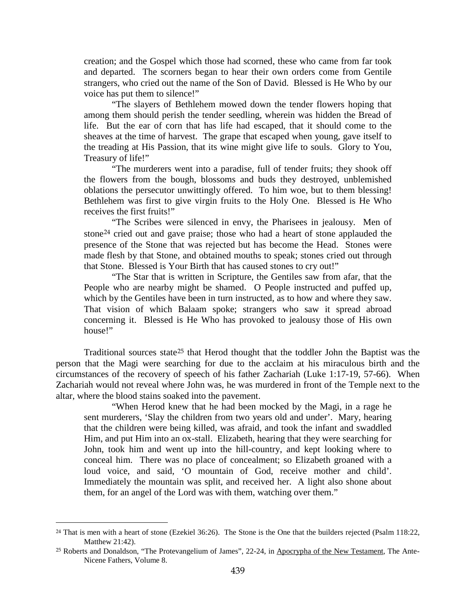creation; and the Gospel which those had scorned, these who came from far took and departed. The scorners began to hear their own orders come from Gentile strangers, who cried out the name of the Son of David. Blessed is He Who by our voice has put them to silence!"

"The slayers of Bethlehem mowed down the tender flowers hoping that among them should perish the tender seedling, wherein was hidden the Bread of life. But the ear of corn that has life had escaped, that it should come to the sheaves at the time of harvest. The grape that escaped when young, gave itself to the treading at His Passion, that its wine might give life to souls. Glory to You, Treasury of life!"

"The murderers went into a paradise, full of tender fruits; they shook off the flowers from the bough, blossoms and buds they destroyed, unblemished oblations the persecutor unwittingly offered. To him woe, but to them blessing! Bethlehem was first to give virgin fruits to the Holy One. Blessed is He Who receives the first fruits!"

"The Scribes were silenced in envy, the Pharisees in jealousy. Men of stone[24](#page-16-0) cried out and gave praise; those who had a heart of stone applauded the presence of the Stone that was rejected but has become the Head. Stones were made flesh by that Stone, and obtained mouths to speak; stones cried out through that Stone. Blessed is Your Birth that has caused stones to cry out!"

"The Star that is written in Scripture, the Gentiles saw from afar, that the People who are nearby might be shamed. O People instructed and puffed up, which by the Gentiles have been in turn instructed, as to how and where they saw. That vision of which Balaam spoke; strangers who saw it spread abroad concerning it. Blessed is He Who has provoked to jealousy those of His own house!"

Traditional sources state[25](#page-16-1) that Herod thought that the toddler John the Baptist was the person that the Magi were searching for due to the acclaim at his miraculous birth and the circumstances of the recovery of speech of his father Zachariah (Luke 1:17-19, 57-66). When Zachariah would not reveal where John was, he was murdered in front of the Temple next to the altar, where the blood stains soaked into the pavement.

"When Herod knew that he had been mocked by the Magi, in a rage he sent murderers, 'Slay the children from two years old and under'. Mary, hearing that the children were being killed, was afraid, and took the infant and swaddled Him, and put Him into an ox-stall. Elizabeth, hearing that they were searching for John, took him and went up into the hill-country, and kept looking where to conceal him. There was no place of concealment; so Elizabeth groaned with a loud voice, and said, 'O mountain of God, receive mother and child'. Immediately the mountain was split, and received her. A light also shone about them, for an angel of the Lord was with them, watching over them."

<span id="page-16-0"></span><sup>&</sup>lt;sup>24</sup> That is men with a heart of stone (Ezekiel 36:26). The Stone is the One that the builders rejected (Psalm 118:22, Matthew 21:42).

<span id="page-16-1"></span><sup>25</sup> Roberts and Donaldson, "The Protevangelium of James", 22-24, in Apocrypha of the New Testament, The Ante-Nicene Fathers, Volume 8.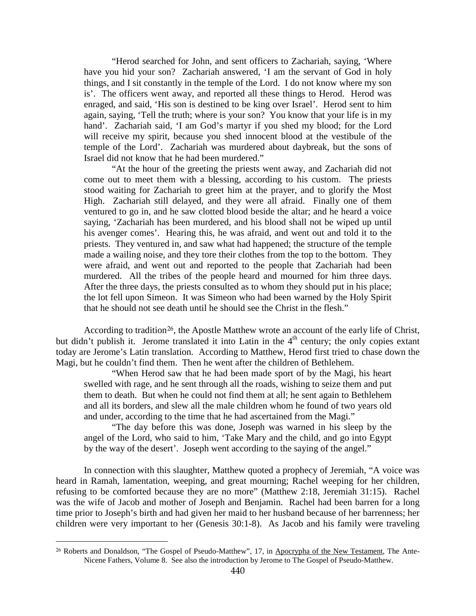"Herod searched for John, and sent officers to Zachariah, saying, 'Where have you hid your son? Zachariah answered, 'I am the servant of God in holy things, and I sit constantly in the temple of the Lord. I do not know where my son is'. The officers went away, and reported all these things to Herod. Herod was enraged, and said, 'His son is destined to be king over Israel'. Herod sent to him again, saying, 'Tell the truth; where is your son? You know that your life is in my hand'. Zachariah said, 'I am God's martyr if you shed my blood; for the Lord will receive my spirit, because you shed innocent blood at the vestibule of the temple of the Lord'. Zachariah was murdered about daybreak, but the sons of Israel did not know that he had been murdered."

"At the hour of the greeting the priests went away, and Zachariah did not come out to meet them with a blessing, according to his custom. The priests stood waiting for Zachariah to greet him at the prayer, and to glorify the Most High. Zachariah still delayed, and they were all afraid. Finally one of them ventured to go in, and he saw clotted blood beside the altar; and he heard a voice saying, 'Zachariah has been murdered, and his blood shall not be wiped up until his avenger comes'. Hearing this, he was afraid, and went out and told it to the priests. They ventured in, and saw what had happened; the structure of the temple made a wailing noise, and they tore their clothes from the top to the bottom. They were afraid, and went out and reported to the people that Zachariah had been murdered. All the tribes of the people heard and mourned for him three days. After the three days, the priests consulted as to whom they should put in his place; the lot fell upon Simeon. It was Simeon who had been warned by the Holy Spirit that he should not see death until he should see the Christ in the flesh."

According to tradition<sup>[26](#page-17-0)</sup>, the Apostle Matthew wrote an account of the early life of Christ, but didn't publish it. Jerome translated it into Latin in the 4<sup>th</sup> century; the only copies extant today are Jerome's Latin translation. According to Matthew, Herod first tried to chase down the Magi, but he couldn't find them. Then he went after the children of Bethlehem.

"When Herod saw that he had been made sport of by the Magi, his heart swelled with rage, and he sent through all the roads, wishing to seize them and put them to death. But when he could not find them at all; he sent again to Bethlehem and all its borders, and slew all the male children whom he found of two years old and under, according to the time that he had ascertained from the Magi."

"The day before this was done, Joseph was warned in his sleep by the angel of the Lord, who said to him, 'Take Mary and the child, and go into Egypt by the way of the desert'. Joseph went according to the saying of the angel."

In connection with this slaughter, Matthew quoted a prophecy of Jeremiah, "A voice was heard in Ramah, lamentation, weeping, and great mourning; Rachel weeping for her children, refusing to be comforted because they are no more" (Matthew 2:18, Jeremiah 31:15). Rachel was the wife of Jacob and mother of Joseph and Benjamin. Rachel had been barren for a long time prior to Joseph's birth and had given her maid to her husband because of her barrenness; her children were very important to her (Genesis 30:1-8). As Jacob and his family were traveling

<span id="page-17-0"></span> <sup>26</sup> Roberts and Donaldson, "The Gospel of Pseudo-Matthew", 17, in Apocrypha of the New Testament, The Ante-Nicene Fathers, Volume 8. See also the introduction by Jerome to The Gospel of Pseudo-Matthew.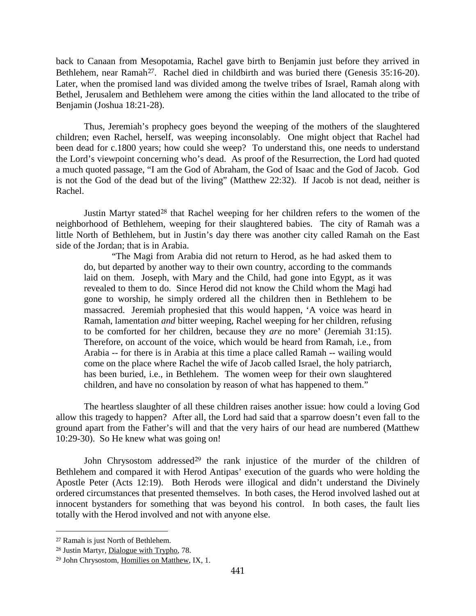back to Canaan from Mesopotamia, Rachel gave birth to Benjamin just before they arrived in Bethlehem, near Ramah<sup>[27](#page-18-0)</sup>. Rachel died in childbirth and was buried there (Genesis 35:16-20). Later, when the promised land was divided among the twelve tribes of Israel, Ramah along with Bethel, Jerusalem and Bethlehem were among the cities within the land allocated to the tribe of Benjamin (Joshua 18:21-28).

Thus, Jeremiah's prophecy goes beyond the weeping of the mothers of the slaughtered children; even Rachel, herself, was weeping inconsolably. One might object that Rachel had been dead for c.1800 years; how could she weep? To understand this, one needs to understand the Lord's viewpoint concerning who's dead. As proof of the Resurrection, the Lord had quoted a much quoted passage, "I am the God of Abraham, the God of Isaac and the God of Jacob. God is not the God of the dead but of the living" (Matthew 22:32). If Jacob is not dead, neither is Rachel.

Justin Martyr stated[28](#page-18-1) that Rachel weeping for her children refers to the women of the neighborhood of Bethlehem, weeping for their slaughtered babies. The city of Ramah was a little North of Bethlehem, but in Justin's day there was another city called Ramah on the East side of the Jordan; that is in Arabia.

"The Magi from Arabia did not return to Herod, as he had asked them to do, but departed by another way to their own country, according to the commands laid on them. Joseph, with Mary and the Child, had gone into Egypt, as it was revealed to them to do. Since Herod did not know the Child whom the Magi had gone to worship, he simply ordered all the children then in Bethlehem to be massacred. Jeremiah prophesied that this would happen, 'A voice was heard in Ramah, lamentation *and* bitter weeping, Rachel weeping for her children, refusing to be comforted for her children, because they *are* no more' (Jeremiah 31:15). Therefore, on account of the voice, which would be heard from Ramah, i.e., from Arabia -- for there is in Arabia at this time a place called Ramah -- wailing would come on the place where Rachel the wife of Jacob called Israel, the holy patriarch, has been buried, i.e., in Bethlehem. The women weep for their own slaughtered children, and have no consolation by reason of what has happened to them."

The heartless slaughter of all these children raises another issue: how could a loving God allow this tragedy to happen? After all, the Lord had said that a sparrow doesn't even fall to the ground apart from the Father's will and that the very hairs of our head are numbered (Matthew 10:29-30). So He knew what was going on!

John Chrysostom addressed<sup>[29](#page-18-2)</sup> the rank injustice of the murder of the children of Bethlehem and compared it with Herod Antipas' execution of the guards who were holding the Apostle Peter (Acts 12:19). Both Herods were illogical and didn't understand the Divinely ordered circumstances that presented themselves. In both cases, the Herod involved lashed out at innocent bystanders for something that was beyond his control. In both cases, the fault lies totally with the Herod involved and not with anyone else.

<span id="page-18-0"></span> <sup>27</sup> Ramah is just North of Bethlehem.

<span id="page-18-1"></span><sup>28</sup> Justin Martyr, Dialogue with Trypho, 78.

<span id="page-18-2"></span><sup>29</sup> John Chrysostom, Homilies on Matthew, IX, 1.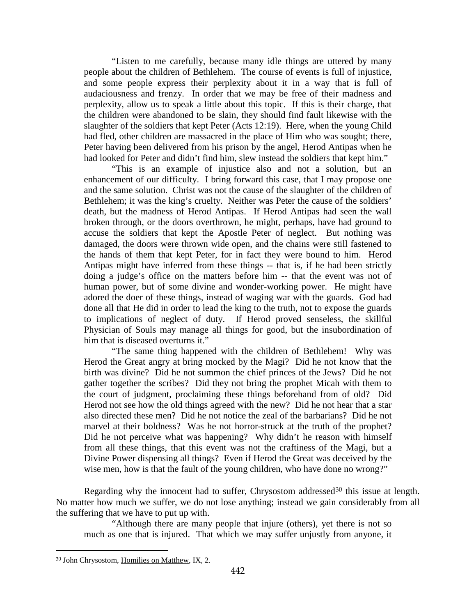"Listen to me carefully, because many idle things are uttered by many people about the children of Bethlehem. The course of events is full of injustice, and some people express their perplexity about it in a way that is full of audaciousness and frenzy. In order that we may be free of their madness and perplexity, allow us to speak a little about this topic. If this is their charge, that the children were abandoned to be slain, they should find fault likewise with the slaughter of the soldiers that kept Peter (Acts 12:19). Here, when the young Child had fled, other children are massacred in the place of Him who was sought; there, Peter having been delivered from his prison by the angel, Herod Antipas when he had looked for Peter and didn't find him, slew instead the soldiers that kept him."

"This is an example of injustice also and not a solution, but an enhancement of our difficulty. I bring forward this case, that I may propose one and the same solution. Christ was not the cause of the slaughter of the children of Bethlehem; it was the king's cruelty. Neither was Peter the cause of the soldiers' death, but the madness of Herod Antipas. If Herod Antipas had seen the wall broken through, or the doors overthrown, he might, perhaps, have had ground to accuse the soldiers that kept the Apostle Peter of neglect. But nothing was damaged, the doors were thrown wide open, and the chains were still fastened to the hands of them that kept Peter, for in fact they were bound to him. Herod Antipas might have inferred from these things -- that is, if he had been strictly doing a judge's office on the matters before him -- that the event was not of human power, but of some divine and wonder-working power. He might have adored the doer of these things, instead of waging war with the guards. God had done all that He did in order to lead the king to the truth, not to expose the guards to implications of neglect of duty. If Herod proved senseless, the skillful Physician of Souls may manage all things for good, but the insubordination of him that is diseased overturns it."

"The same thing happened with the children of Bethlehem! Why was Herod the Great angry at bring mocked by the Magi? Did he not know that the birth was divine? Did he not summon the chief princes of the Jews? Did he not gather together the scribes? Did they not bring the prophet Micah with them to the court of judgment, proclaiming these things beforehand from of old? Did Herod not see how the old things agreed with the new? Did he not hear that a star also directed these men? Did he not notice the zeal of the barbarians? Did he not marvel at their boldness? Was he not horror-struck at the truth of the prophet? Did he not perceive what was happening? Why didn't he reason with himself from all these things, that this event was not the craftiness of the Magi, but a Divine Power dispensing all things? Even if Herod the Great was deceived by the wise men, how is that the fault of the young children, who have done no wrong?"

Regarding why the innocent had to suffer, Chrysostom addressed<sup>[30](#page-19-0)</sup> this issue at length. No matter how much we suffer, we do not lose anything; instead we gain considerably from all the suffering that we have to put up with.

"Although there are many people that injure (others), yet there is not so much as one that is injured. That which we may suffer unjustly from anyone, it

<span id="page-19-0"></span> <sup>30</sup> John Chrysostom, Homilies on Matthew, IX, 2.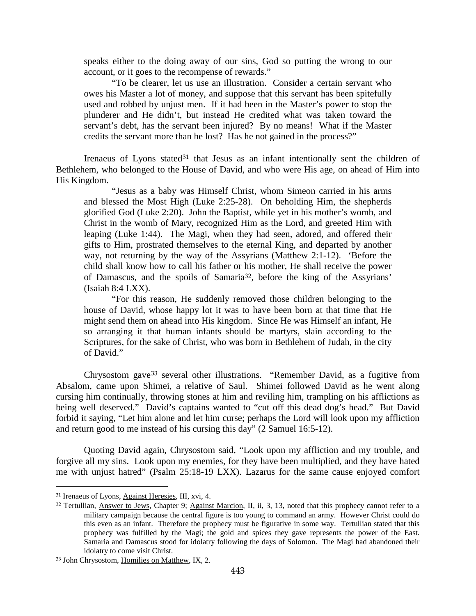speaks either to the doing away of our sins, God so putting the wrong to our account, or it goes to the recompense of rewards."

"To be clearer, let us use an illustration. Consider a certain servant who owes his Master a lot of money, and suppose that this servant has been spitefully used and robbed by unjust men. If it had been in the Master's power to stop the plunderer and He didn't, but instead He credited what was taken toward the servant's debt, has the servant been injured? By no means! What if the Master credits the servant more than he lost? Has he not gained in the process?"

Irenaeus of Lyons stated<sup>[31](#page-20-0)</sup> that Jesus as an infant intentionally sent the children of Bethlehem, who belonged to the House of David, and who were His age, on ahead of Him into His Kingdom.

"Jesus as a baby was Himself Christ, whom Simeon carried in his arms and blessed the Most High (Luke 2:25-28). On beholding Him, the shepherds glorified God (Luke 2:20). John the Baptist, while yet in his mother's womb, and Christ in the womb of Mary, recognized Him as the Lord, and greeted Him with leaping (Luke 1:44). The Magi, when they had seen, adored, and offered their gifts to Him, prostrated themselves to the eternal King, and departed by another way, not returning by the way of the Assyrians (Matthew 2:1-12). 'Before the child shall know how to call his father or his mother, He shall receive the power of Damascus, and the spoils of Samaria[32](#page-20-1), before the king of the Assyrians' (Isaiah 8:4 LXX).

"For this reason, He suddenly removed those children belonging to the house of David, whose happy lot it was to have been born at that time that He might send them on ahead into His kingdom. Since He was Himself an infant, He so arranging it that human infants should be martyrs, slain according to the Scriptures, for the sake of Christ, who was born in Bethlehem of Judah, in the city of David."

Chrysostom gave[33](#page-20-2) several other illustrations. "Remember David, as a fugitive from Absalom, came upon Shimei, a relative of Saul. Shimei followed David as he went along cursing him continually, throwing stones at him and reviling him, trampling on his afflictions as being well deserved." David's captains wanted to "cut off this dead dog's head." But David forbid it saying, "Let him alone and let him curse; perhaps the Lord will look upon my affliction and return good to me instead of his cursing this day" (2 Samuel 16:5-12).

Quoting David again, Chrysostom said, "Look upon my affliction and my trouble, and forgive all my sins. Look upon my enemies, for they have been multiplied, and they have hated me with unjust hatred" (Psalm 25:18-19 LXX). Lazarus for the same cause enjoyed comfort

<span id="page-20-0"></span> <sup>31</sup> Irenaeus of Lyons, Against Heresies, III, xvi, 4.

<span id="page-20-1"></span><sup>32</sup> Tertullian, Answer to Jews, Chapter 9; Against Marcion, II, ii, 3, 13, noted that this prophecy cannot refer to a military campaign because the central figure is too young to command an army. However Christ could do this even as an infant. Therefore the prophecy must be figurative in some way. Tertullian stated that this prophecy was fulfilled by the Magi; the gold and spices they gave represents the power of the East. Samaria and Damascus stood for idolatry following the days of Solomon. The Magi had abandoned their idolatry to come visit Christ.

<span id="page-20-2"></span><sup>33</sup> John Chrysostom, Homilies on Matthew, IX, 2.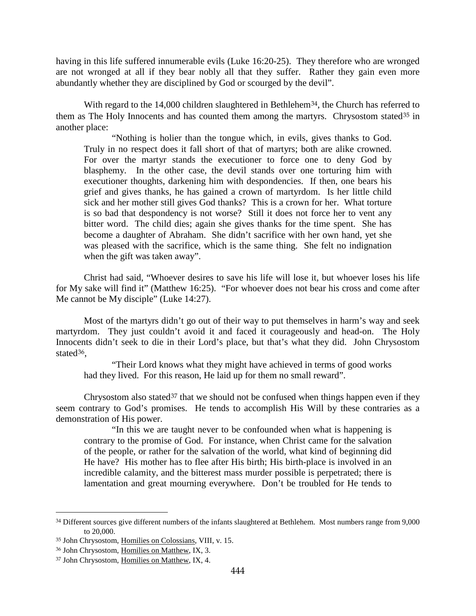having in this life suffered innumerable evils (Luke 16:20-25). They therefore who are wronged are not wronged at all if they bear nobly all that they suffer. Rather they gain even more abundantly whether they are disciplined by God or scourged by the devil".

With regard to the 14,000 children slaughtered in Bethlehem<sup>[34](#page-21-0)</sup>, the Church has referred to them as The Holy Innocents and has counted them among the martyrs. Chrysostom stated<sup>[35](#page-21-1)</sup> in another place:

"Nothing is holier than the tongue which, in evils, gives thanks to God. Truly in no respect does it fall short of that of martyrs; both are alike crowned. For over the martyr stands the executioner to force one to deny God by blasphemy. In the other case, the devil stands over one torturing him with executioner thoughts, darkening him with despondencies. If then, one bears his grief and gives thanks, he has gained a crown of martyrdom. Is her little child sick and her mother still gives God thanks? This is a crown for her. What torture is so bad that despondency is not worse? Still it does not force her to vent any bitter word. The child dies; again she gives thanks for the time spent. She has become a daughter of Abraham. She didn't sacrifice with her own hand, yet she was pleased with the sacrifice, which is the same thing. She felt no indignation when the gift was taken away".

Christ had said, "Whoever desires to save his life will lose it, but whoever loses his life for My sake will find it" (Matthew 16:25). "For whoever does not bear his cross and come after Me cannot be My disciple" (Luke 14:27).

Most of the martyrs didn't go out of their way to put themselves in harm's way and seek martyrdom. They just couldn't avoid it and faced it courageously and head-on. The Holy Innocents didn't seek to die in their Lord's place, but that's what they did. John Chrysostom stated<sup>[36](#page-21-2)</sup>.

"Their Lord knows what they might have achieved in terms of good works had they lived. For this reason, He laid up for them no small reward".

Chrysostom also stated<sup>[37](#page-21-3)</sup> that we should not be confused when things happen even if they seem contrary to God's promises. He tends to accomplish His Will by these contraries as a demonstration of His power.

"In this we are taught never to be confounded when what is happening is contrary to the promise of God. For instance, when Christ came for the salvation of the people, or rather for the salvation of the world, what kind of beginning did He have? His mother has to flee after His birth; His birth-place is involved in an incredible calamity, and the bitterest mass murder possible is perpetrated; there is lamentation and great mourning everywhere. Don't be troubled for He tends to

<span id="page-21-0"></span><sup>&</sup>lt;sup>34</sup> Different sources give different numbers of the infants slaughtered at Bethlehem. Most numbers range from 9,000 to 20,000.

<span id="page-21-1"></span><sup>35</sup> John Chrysostom, Homilies on Colossians, VIII, v. 15.

<span id="page-21-2"></span><sup>36</sup> John Chrysostom, Homilies on Matthew, IX, 3.

<span id="page-21-3"></span><sup>37</sup> John Chrysostom, Homilies on Matthew, IX, 4.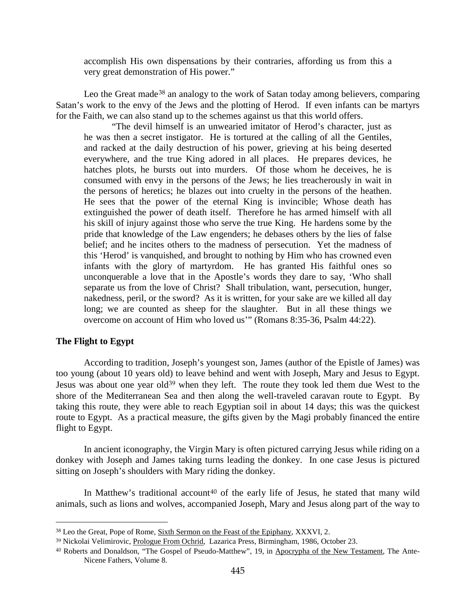accomplish His own dispensations by their contraries, affording us from this a very great demonstration of His power."

Leo the Great made<sup>[38](#page-22-1)</sup> an analogy to the work of Satan today among believers, comparing Satan's work to the envy of the Jews and the plotting of Herod. If even infants can be martyrs for the Faith, we can also stand up to the schemes against us that this world offers.

"The devil himself is an unwearied imitator of Herod's character, just as he was then a secret instigator. He is tortured at the calling of all the Gentiles, and racked at the daily destruction of his power, grieving at his being deserted everywhere, and the true King adored in all places. He prepares devices, he hatches plots, he bursts out into murders. Of those whom he deceives, he is consumed with envy in the persons of the Jews; he lies treacherously in wait in the persons of heretics; he blazes out into cruelty in the persons of the heathen. He sees that the power of the eternal King is invincible; Whose death has extinguished the power of death itself. Therefore he has armed himself with all his skill of injury against those who serve the true King. He hardens some by the pride that knowledge of the Law engenders; he debases others by the lies of false belief; and he incites others to the madness of persecution. Yet the madness of this 'Herod' is vanquished, and brought to nothing by Him who has crowned even infants with the glory of martyrdom. He has granted His faithful ones so unconquerable a love that in the Apostle's words they dare to say, 'Who shall separate us from the love of Christ? Shall tribulation, want, persecution, hunger, nakedness, peril, or the sword? As it is written, for your sake are we killed all day long; we are counted as sheep for the slaughter. But in all these things we overcome on account of Him who loved us'" (Romans 8:35-36, Psalm 44:22).

# <span id="page-22-0"></span>**The Flight to Egypt**

According to tradition, Joseph's youngest son, James (author of the Epistle of James) was too young (about 10 years old) to leave behind and went with Joseph, Mary and Jesus to Egypt. Jesus was about one year old<sup>[39](#page-22-2)</sup> when they left. The route they took led them due West to the shore of the Mediterranean Sea and then along the well-traveled caravan route to Egypt. By taking this route, they were able to reach Egyptian soil in about 14 days; this was the quickest route to Egypt. As a practical measure, the gifts given by the Magi probably financed the entire flight to Egypt.

In ancient iconography, the Virgin Mary is often pictured carrying Jesus while riding on a donkey with Joseph and James taking turns leading the donkey. In one case Jesus is pictured sitting on Joseph's shoulders with Mary riding the donkey.

In Matthew's traditional account<sup>[40](#page-22-3)</sup> of the early life of Jesus, he stated that many wild animals, such as lions and wolves, accompanied Joseph, Mary and Jesus along part of the way to

<span id="page-22-1"></span> <sup>38</sup> Leo the Great, Pope of Rome, Sixth Sermon on the Feast of the Epiphany, XXXVI, 2.

<span id="page-22-2"></span><sup>39</sup> Nickolai Velimirovic, Prologue From Ochrid, Lazarica Press, Birmingham, 1986, October 23.

<span id="page-22-3"></span><sup>40</sup> Roberts and Donaldson, "The Gospel of Pseudo-Matthew", 19, in Apocrypha of the New Testament, The Ante-Nicene Fathers, Volume 8.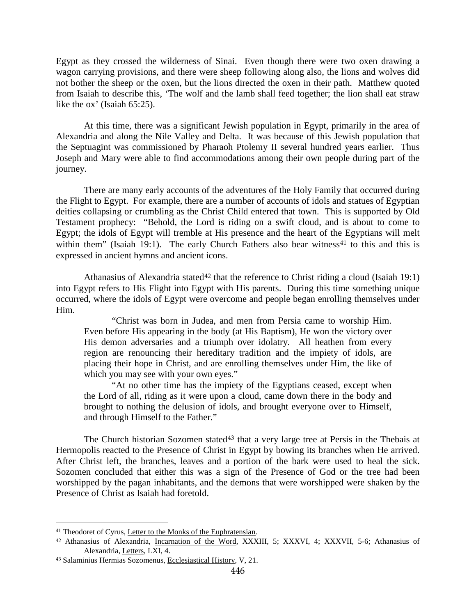Egypt as they crossed the wilderness of Sinai. Even though there were two oxen drawing a wagon carrying provisions, and there were sheep following along also, the lions and wolves did not bother the sheep or the oxen, but the lions directed the oxen in their path. Matthew quoted from Isaiah to describe this, 'The wolf and the lamb shall feed together; the lion shall eat straw like the ox' (Isaiah 65:25).

At this time, there was a significant Jewish population in Egypt, primarily in the area of Alexandria and along the Nile Valley and Delta. It was because of this Jewish population that the Septuagint was commissioned by Pharaoh Ptolemy II several hundred years earlier. Thus Joseph and Mary were able to find accommodations among their own people during part of the journey.

There are many early accounts of the adventures of the Holy Family that occurred during the Flight to Egypt. For example, there are a number of accounts of idols and statues of Egyptian deities collapsing or crumbling as the Christ Child entered that town. This is supported by Old Testament prophecy: "Behold, the Lord is riding on a swift cloud, and is about to come to Egypt; the idols of Egypt will tremble at His presence and the heart of the Egyptians will melt within them" (Isaiah 19:1). The early Church Fathers also bear witness<sup>[41](#page-23-0)</sup> to this and this is expressed in ancient hymns and ancient icons.

Athanasius of Alexandria stated<sup>[42](#page-23-1)</sup> that the reference to Christ riding a cloud (Isaiah 19:1) into Egypt refers to His Flight into Egypt with His parents. During this time something unique occurred, where the idols of Egypt were overcome and people began enrolling themselves under Him.

"Christ was born in Judea, and men from Persia came to worship Him. Even before His appearing in the body (at His Baptism), He won the victory over His demon adversaries and a triumph over idolatry. All heathen from every region are renouncing their hereditary tradition and the impiety of idols, are placing their hope in Christ, and are enrolling themselves under Him, the like of which you may see with your own eyes."

"At no other time has the impiety of the Egyptians ceased, except when the Lord of all, riding as it were upon a cloud, came down there in the body and brought to nothing the delusion of idols, and brought everyone over to Himself, and through Himself to the Father."

The Church historian Sozomen stated<sup>[43](#page-23-2)</sup> that a very large tree at Persis in the Thebais at Hermopolis reacted to the Presence of Christ in Egypt by bowing its branches when He arrived. After Christ left, the branches, leaves and a portion of the bark were used to heal the sick. Sozomen concluded that either this was a sign of the Presence of God or the tree had been worshipped by the pagan inhabitants, and the demons that were worshipped were shaken by the Presence of Christ as Isaiah had foretold.

<span id="page-23-0"></span> <sup>41</sup> Theodoret of Cyrus, Letter to the Monks of the Euphratensian.

<span id="page-23-1"></span><sup>42</sup> Athanasius of Alexandria, Incarnation of the Word, XXXIII, 5; XXXVI, 4; XXXVII, 5-6; Athanasius of Alexandria, Letters, LXI, 4.

<span id="page-23-2"></span><sup>43</sup> Salaminius Hermias Sozomenus, Ecclesiastical History, V, 21.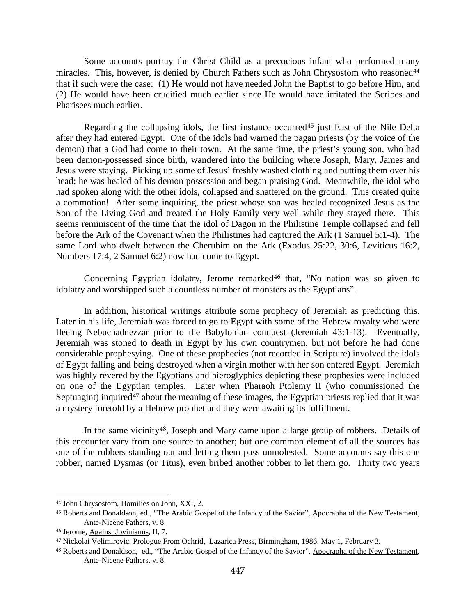Some accounts portray the Christ Child as a precocious infant who performed many miracles. This, however, is denied by Church Fathers such as John Chrysostom who reasoned<sup>[44](#page-24-0)</sup> that if such were the case: (1) He would not have needed John the Baptist to go before Him, and (2) He would have been crucified much earlier since He would have irritated the Scribes and Pharisees much earlier.

Regarding the collapsing idols, the first instance occurred<sup>[45](#page-24-1)</sup> just East of the Nile Delta after they had entered Egypt. One of the idols had warned the pagan priests (by the voice of the demon) that a God had come to their town. At the same time, the priest's young son, who had been demon-possessed since birth, wandered into the building where Joseph, Mary, James and Jesus were staying. Picking up some of Jesus' freshly washed clothing and putting them over his head; he was healed of his demon possession and began praising God. Meanwhile, the idol who had spoken along with the other idols, collapsed and shattered on the ground. This created quite a commotion! After some inquiring, the priest whose son was healed recognized Jesus as the Son of the Living God and treated the Holy Family very well while they stayed there. This seems reminiscent of the time that the idol of Dagon in the Philistine Temple collapsed and fell before the Ark of the Covenant when the Philistines had captured the Ark (1 Samuel 5:1-4). The same Lord who dwelt between the Cherubim on the Ark (Exodus 25:22, 30:6, Leviticus 16:2, Numbers 17:4, 2 Samuel 6:2) now had come to Egypt.

Concerning Egyptian idolatry, Jerome remarked<sup>[46](#page-24-2)</sup> that, "No nation was so given to idolatry and worshipped such a countless number of monsters as the Egyptians".

In addition, historical writings attribute some prophecy of Jeremiah as predicting this. Later in his life, Jeremiah was forced to go to Egypt with some of the Hebrew royalty who were fleeing Nebuchadnezzar prior to the Babylonian conquest (Jeremiah 43:1-13). Eventually, Jeremiah was stoned to death in Egypt by his own countrymen, but not before he had done considerable prophesying. One of these prophecies (not recorded in Scripture) involved the idols of Egypt falling and being destroyed when a virgin mother with her son entered Egypt. Jeremiah was highly revered by the Egyptians and hieroglyphics depicting these prophesies were included on one of the Egyptian temples. Later when Pharaoh Ptolemy II (who commissioned the Septuagint) inquired<sup>[47](#page-24-3)</sup> about the meaning of these images, the Egyptian priests replied that it was a mystery foretold by a Hebrew prophet and they were awaiting its fulfillment.

In the same vicinity<sup>[48](#page-24-4)</sup>, Joseph and Mary came upon a large group of robbers. Details of this encounter vary from one source to another; but one common element of all the sources has one of the robbers standing out and letting them pass unmolested. Some accounts say this one robber, named Dysmas (or Titus), even bribed another robber to let them go. Thirty two years

<span id="page-24-0"></span> <sup>44</sup> John Chrysostom, Homilies on John, XXI, 2.

<span id="page-24-1"></span><sup>45</sup> Roberts and Donaldson, ed., "The Arabic Gospel of the Infancy of the Savior", Apocrapha of the New Testament, Ante-Nicene Fathers, v. 8.

<span id="page-24-2"></span><sup>46</sup> Jerome, Against Jovinianus, II, 7.

<span id="page-24-3"></span><sup>47</sup> Nickolai Velimirovic, Prologue From Ochrid, Lazarica Press, Birmingham, 1986, May 1, February 3.

<span id="page-24-4"></span><sup>48</sup> Roberts and Donaldson, ed., "The Arabic Gospel of the Infancy of the Savior", Apocrapha of the New Testament, Ante-Nicene Fathers, v. 8.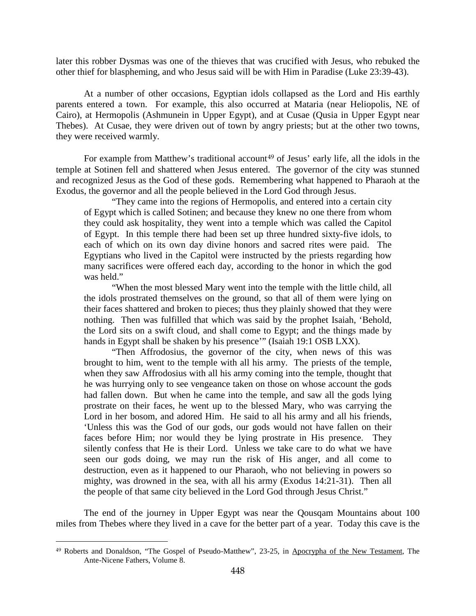later this robber Dysmas was one of the thieves that was crucified with Jesus, who rebuked the other thief for blaspheming, and who Jesus said will be with Him in Paradise (Luke 23:39-43).

At a number of other occasions, Egyptian idols collapsed as the Lord and His earthly parents entered a town. For example, this also occurred at Mataria (near Heliopolis, NE of Cairo), at Hermopolis (Ashmunein in Upper Egypt), and at Cusae (Qusia in Upper Egypt near Thebes). At Cusae, they were driven out of town by angry priests; but at the other two towns, they were received warmly.

For example from Matthew's traditional account<sup>[49](#page-25-0)</sup> of Jesus' early life, all the idols in the temple at Sotinen fell and shattered when Jesus entered. The governor of the city was stunned and recognized Jesus as the God of these gods. Remembering what happened to Pharaoh at the Exodus, the governor and all the people believed in the Lord God through Jesus.

"They came into the regions of Hermopolis, and entered into a certain city of Egypt which is called Sotinen; and because they knew no one there from whom they could ask hospitality, they went into a temple which was called the Capitol of Egypt. In this temple there had been set up three hundred sixty-five idols, to each of which on its own day divine honors and sacred rites were paid. The Egyptians who lived in the Capitol were instructed by the priests regarding how many sacrifices were offered each day, according to the honor in which the god was held."

"When the most blessed Mary went into the temple with the little child, all the idols prostrated themselves on the ground, so that all of them were lying on their faces shattered and broken to pieces; thus they plainly showed that they were nothing. Then was fulfilled that which was said by the prophet Isaiah, 'Behold, the Lord sits on a swift cloud, and shall come to Egypt; and the things made by hands in Egypt shall be shaken by his presence'" (Isaiah 19:1 OSB LXX).

"Then Affrodosius, the governor of the city, when news of this was brought to him, went to the temple with all his army. The priests of the temple, when they saw Affrodosius with all his army coming into the temple, thought that he was hurrying only to see vengeance taken on those on whose account the gods had fallen down. But when he came into the temple, and saw all the gods lying prostrate on their faces, he went up to the blessed Mary, who was carrying the Lord in her bosom, and adored Him. He said to all his army and all his friends, 'Unless this was the God of our gods, our gods would not have fallen on their faces before Him; nor would they be lying prostrate in His presence. They silently confess that He is their Lord. Unless we take care to do what we have seen our gods doing, we may run the risk of His anger, and all come to destruction, even as it happened to our Pharaoh, who not believing in powers so mighty, was drowned in the sea, with all his army (Exodus 14:21-31). Then all the people of that same city believed in the Lord God through Jesus Christ."

The end of the journey in Upper Egypt was near the Qousqam Mountains about 100 miles from Thebes where they lived in a cave for the better part of a year. Today this cave is the

<span id="page-25-0"></span> <sup>49</sup> Roberts and Donaldson, "The Gospel of Pseudo-Matthew", 23-25, in Apocrypha of the New Testament, The Ante-Nicene Fathers, Volume 8.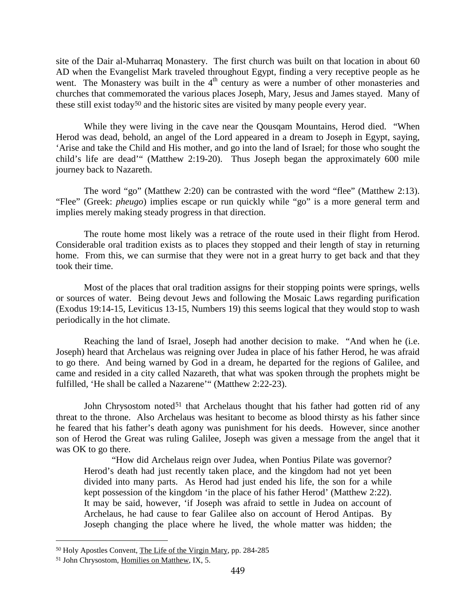site of the Dair al-Muharraq Monastery. The first church was built on that location in about 60 AD when the Evangelist Mark traveled throughout Egypt, finding a very receptive people as he went. The Monastery was built in the  $4<sup>th</sup>$  century as were a number of other monasteries and churches that commemorated the various places Joseph, Mary, Jesus and James stayed. Many of these still exist today[50](#page-26-0) and the historic sites are visited by many people every year.

While they were living in the cave near the Qousqam Mountains, Herod died. "When Herod was dead, behold, an angel of the Lord appeared in a dream to Joseph in Egypt, saying, 'Arise and take the Child and His mother, and go into the land of Israel; for those who sought the child's life are dead'" (Matthew 2:19-20). Thus Joseph began the approximately 600 mile journey back to Nazareth.

The word "go" (Matthew 2:20) can be contrasted with the word "flee" (Matthew 2:13). "Flee" (Greek: *pheugo*) implies escape or run quickly while "go" is a more general term and implies merely making steady progress in that direction.

The route home most likely was a retrace of the route used in their flight from Herod. Considerable oral tradition exists as to places they stopped and their length of stay in returning home. From this, we can surmise that they were not in a great hurry to get back and that they took their time.

Most of the places that oral tradition assigns for their stopping points were springs, wells or sources of water. Being devout Jews and following the Mosaic Laws regarding purification (Exodus 19:14-15, Leviticus 13-15, Numbers 19) this seems logical that they would stop to wash periodically in the hot climate.

Reaching the land of Israel, Joseph had another decision to make. "And when he (i.e. Joseph) heard that Archelaus was reigning over Judea in place of his father Herod, he was afraid to go there. And being warned by God in a dream, he departed for the regions of Galilee, and came and resided in a city called Nazareth, that what was spoken through the prophets might be fulfilled, 'He shall be called a Nazarene'" (Matthew 2:22-23).

John Chrysostom noted<sup>[51](#page-26-1)</sup> that Archelaus thought that his father had gotten rid of any threat to the throne. Also Archelaus was hesitant to become as blood thirsty as his father since he feared that his father's death agony was punishment for his deeds. However, since another son of Herod the Great was ruling Galilee, Joseph was given a message from the angel that it was OK to go there.

"How did Archelaus reign over Judea, when Pontius Pilate was governor? Herod's death had just recently taken place, and the kingdom had not yet been divided into many parts. As Herod had just ended his life, the son for a while kept possession of the kingdom 'in the place of his father Herod' (Matthew 2:22). It may be said, however, 'if Joseph was afraid to settle in Judea on account of Archelaus, he had cause to fear Galilee also on account of Herod Antipas. By Joseph changing the place where he lived, the whole matter was hidden; the

<span id="page-26-0"></span> <sup>50</sup> Holy Apostles Convent, The Life of the Virgin Mary, pp. 284-285

<span id="page-26-1"></span><sup>51</sup> John Chrysostom, Homilies on Matthew, IX, 5.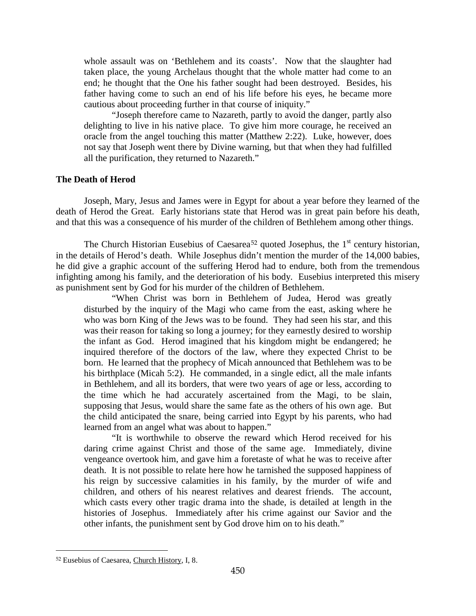whole assault was on 'Bethlehem and its coasts'. Now that the slaughter had taken place, the young Archelaus thought that the whole matter had come to an end; he thought that the One his father sought had been destroyed. Besides, his father having come to such an end of his life before his eyes, he became more cautious about proceeding further in that course of iniquity."

"Joseph therefore came to Nazareth, partly to avoid the danger, partly also delighting to live in his native place. To give him more courage, he received an oracle from the angel touching this matter (Matthew 2:22). Luke, however, does not say that Joseph went there by Divine warning, but that when they had fulfilled all the purification, they returned to Nazareth."

# <span id="page-27-0"></span>**The Death of Herod**

Joseph, Mary, Jesus and James were in Egypt for about a year before they learned of the death of Herod the Great. Early historians state that Herod was in great pain before his death, and that this was a consequence of his murder of the children of Bethlehem among other things.

The Church Historian Eusebius of Caesarea<sup>[52](#page-27-1)</sup> quoted Josephus, the  $1<sup>st</sup>$  century historian, in the details of Herod's death. While Josephus didn't mention the murder of the 14,000 babies, he did give a graphic account of the suffering Herod had to endure, both from the tremendous infighting among his family, and the deterioration of his body. Eusebius interpreted this misery as punishment sent by God for his murder of the children of Bethlehem.

"When Christ was born in Bethlehem of Judea, Herod was greatly disturbed by the inquiry of the Magi who came from the east, asking where he who was born King of the Jews was to be found. They had seen his star, and this was their reason for taking so long a journey; for they earnestly desired to worship the infant as God. Herod imagined that his kingdom might be endangered; he inquired therefore of the doctors of the law, where they expected Christ to be born. He learned that the prophecy of Micah announced that Bethlehem was to be his birthplace (Micah 5:2). He commanded, in a single edict, all the male infants in Bethlehem, and all its borders, that were two years of age or less, according to the time which he had accurately ascertained from the Magi, to be slain, supposing that Jesus, would share the same fate as the others of his own age. But the child anticipated the snare, being carried into Egypt by his parents, who had learned from an angel what was about to happen."

"It is worthwhile to observe the reward which Herod received for his daring crime against Christ and those of the same age. Immediately, divine vengeance overtook him, and gave him a foretaste of what he was to receive after death. It is not possible to relate here how he tarnished the supposed happiness of his reign by successive calamities in his family, by the murder of wife and children, and others of his nearest relatives and dearest friends. The account, which casts every other tragic drama into the shade, is detailed at length in the histories of Josephus. Immediately after his crime against our Savior and the other infants, the punishment sent by God drove him on to his death."

<span id="page-27-1"></span> <sup>52</sup> Eusebius of Caesarea, Church History, I, 8.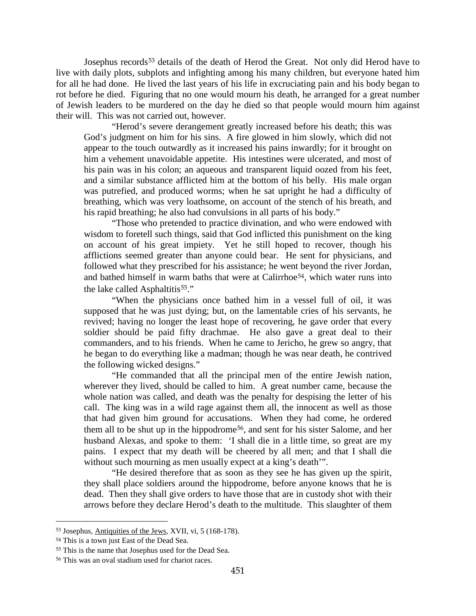Josephus records<sup>[53](#page-28-0)</sup> details of the death of Herod the Great. Not only did Herod have to live with daily plots, subplots and infighting among his many children, but everyone hated him for all he had done. He lived the last years of his life in excruciating pain and his body began to rot before he died. Figuring that no one would mourn his death, he arranged for a great number of Jewish leaders to be murdered on the day he died so that people would mourn him against their will. This was not carried out, however.

"Herod's severe derangement greatly increased before his death; this was God's judgment on him for his sins. A fire glowed in him slowly, which did not appear to the touch outwardly as it increased his pains inwardly; for it brought on him a vehement unavoidable appetite. His intestines were ulcerated, and most of his pain was in his colon; an aqueous and transparent liquid oozed from his feet, and a similar substance afflicted him at the bottom of his belly. His male organ was putrefied, and produced worms; when he sat upright he had a difficulty of breathing, which was very loathsome, on account of the stench of his breath, and his rapid breathing; he also had convulsions in all parts of his body."

"Those who pretended to practice divination, and who were endowed with wisdom to foretell such things, said that God inflicted this punishment on the king on account of his great impiety. Yet he still hoped to recover, though his afflictions seemed greater than anyone could bear. He sent for physicians, and followed what they prescribed for his assistance; he went beyond the river Jordan, and bathed himself in warm baths that were at Calirrhoe[54](#page-28-1), which water runs into the lake called Asphaltitis<sup>[55](#page-28-2)</sup>."

"When the physicians once bathed him in a vessel full of oil, it was supposed that he was just dying; but, on the lamentable cries of his servants, he revived; having no longer the least hope of recovering, he gave order that every soldier should be paid fifty drachmae. He also gave a great deal to their commanders, and to his friends. When he came to Jericho, he grew so angry, that he began to do everything like a madman; though he was near death, he contrived the following wicked designs."

"He commanded that all the principal men of the entire Jewish nation, wherever they lived, should be called to him. A great number came, because the whole nation was called, and death was the penalty for despising the letter of his call. The king was in a wild rage against them all, the innocent as well as those that had given him ground for accusations. When they had come, he ordered them all to be shut up in the hippodrome[56](#page-28-3), and sent for his sister Salome, and her husband Alexas, and spoke to them: 'I shall die in a little time, so great are my pains. I expect that my death will be cheered by all men; and that I shall die without such mourning as men usually expect at a king's death'".

"He desired therefore that as soon as they see he has given up the spirit, they shall place soldiers around the hippodrome, before anyone knows that he is dead. Then they shall give orders to have those that are in custody shot with their arrows before they declare Herod's death to the multitude. This slaughter of them

<span id="page-28-0"></span> <sup>53</sup> Josephus, Antiquities of the Jews, XVII, vi, 5 (168-178).

<span id="page-28-1"></span><sup>54</sup> This is a town just East of the Dead Sea.

<span id="page-28-2"></span><sup>55</sup> This is the name that Josephus used for the Dead Sea.

<span id="page-28-3"></span><sup>56</sup> This was an oval stadium used for chariot races.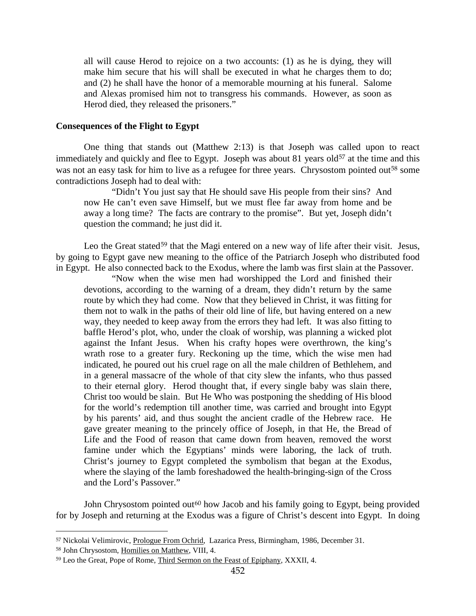all will cause Herod to rejoice on a two accounts: (1) as he is dying, they will make him secure that his will shall be executed in what he charges them to do; and (2) he shall have the honor of a memorable mourning at his funeral. Salome and Alexas promised him not to transgress his commands. However, as soon as Herod died, they released the prisoners."

# <span id="page-29-0"></span>**Consequences of the Flight to Egypt**

One thing that stands out (Matthew 2:13) is that Joseph was called upon to react immediately and quickly and flee to Egypt. Joseph was about 81 years old<sup>[57](#page-29-1)</sup> at the time and this was not an easy task for him to live as a refugee for three years. Chrysostom pointed out<sup>[58](#page-29-2)</sup> some contradictions Joseph had to deal with:

"Didn't You just say that He should save His people from their sins? And now He can't even save Himself, but we must flee far away from home and be away a long time? The facts are contrary to the promise". But yet, Joseph didn't question the command; he just did it.

Leo the Great stated<sup>[59](#page-29-3)</sup> that the Magi entered on a new way of life after their visit. Jesus, by going to Egypt gave new meaning to the office of the Patriarch Joseph who distributed food in Egypt. He also connected back to the Exodus, where the lamb was first slain at the Passover.

"Now when the wise men had worshipped the Lord and finished their devotions, according to the warning of a dream, they didn't return by the same route by which they had come. Now that they believed in Christ, it was fitting for them not to walk in the paths of their old line of life, but having entered on a new way, they needed to keep away from the errors they had left. It was also fitting to baffle Herod's plot, who, under the cloak of worship, was planning a wicked plot against the Infant Jesus. When his crafty hopes were overthrown, the king's wrath rose to a greater fury. Reckoning up the time, which the wise men had indicated, he poured out his cruel rage on all the male children of Bethlehem, and in a general massacre of the whole of that city slew the infants, who thus passed to their eternal glory. Herod thought that, if every single baby was slain there, Christ too would be slain. But He Who was postponing the shedding of His blood for the world's redemption till another time, was carried and brought into Egypt by his parents' aid, and thus sought the ancient cradle of the Hebrew race. He gave greater meaning to the princely office of Joseph, in that He, the Bread of Life and the Food of reason that came down from heaven, removed the worst famine under which the Egyptians' minds were laboring, the lack of truth. Christ's journey to Egypt completed the symbolism that began at the Exodus, where the slaying of the lamb foreshadowed the health-bringing-sign of the Cross and the Lord's Passover."

John Chrysostom pointed out<sup>[60](#page-29-2)</sup> how Jacob and his family going to Egypt, being provided for by Joseph and returning at the Exodus was a figure of Christ's descent into Egypt. In doing

<span id="page-29-1"></span> <sup>57</sup> Nickolai Velimirovic, Prologue From Ochrid, Lazarica Press, Birmingham, 1986, December 31.

<span id="page-29-2"></span><sup>58</sup> John Chrysostom, Homilies on Matthew, VIII, 4.

<span id="page-29-3"></span><sup>59</sup> Leo the Great, Pope of Rome, Third Sermon on the Feast of Epiphany, XXXII, 4.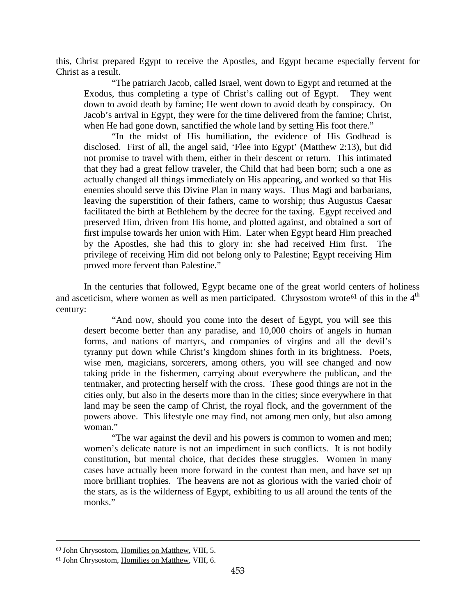this, Christ prepared Egypt to receive the Apostles, and Egypt became especially fervent for Christ as a result.

"The patriarch Jacob, called Israel, went down to Egypt and returned at the Exodus, thus completing a type of Christ's calling out of Egypt. They went down to avoid death by famine; He went down to avoid death by conspiracy. On Jacob's arrival in Egypt, they were for the time delivered from the famine; Christ, when He had gone down, sanctified the whole land by setting His foot there."

"In the midst of His humiliation, the evidence of His Godhead is disclosed. First of all, the angel said, 'Flee into Egypt' (Matthew 2:13), but did not promise to travel with them, either in their descent or return. This intimated that they had a great fellow traveler, the Child that had been born; such a one as actually changed all things immediately on His appearing, and worked so that His enemies should serve this Divine Plan in many ways. Thus Magi and barbarians, leaving the superstition of their fathers, came to worship; thus Augustus Caesar facilitated the birth at Bethlehem by the decree for the taxing. Egypt received and preserved Him, driven from His home, and plotted against, and obtained a sort of first impulse towards her union with Him. Later when Egypt heard Him preached by the Apostles, she had this to glory in: she had received Him first. The privilege of receiving Him did not belong only to Palestine; Egypt receiving Him proved more fervent than Palestine."

In the centuries that followed, Egypt became one of the great world centers of holiness and asceticism, where women as well as men participated. Chrysostom wrote<sup>[61](#page-30-0)</sup> of this in the  $4<sup>th</sup>$ century:

"And now, should you come into the desert of Egypt, you will see this desert become better than any paradise, and 10,000 choirs of angels in human forms, and nations of martyrs, and companies of virgins and all the devil's tyranny put down while Christ's kingdom shines forth in its brightness. Poets, wise men, magicians, sorcerers, among others, you will see changed and now taking pride in the fishermen, carrying about everywhere the publican, and the tentmaker, and protecting herself with the cross. These good things are not in the cities only, but also in the deserts more than in the cities; since everywhere in that land may be seen the camp of Christ, the royal flock, and the government of the powers above. This lifestyle one may find, not among men only, but also among woman."

"The war against the devil and his powers is common to women and men; women's delicate nature is not an impediment in such conflicts. It is not bodily constitution, but mental choice, that decides these struggles. Women in many cases have actually been more forward in the contest than men, and have set up more brilliant trophies. The heavens are not as glorious with the varied choir of the stars, as is the wilderness of Egypt, exhibiting to us all around the tents of the monks."

 <sup>60</sup> John Chrysostom, Homilies on Matthew, VIII, 5.

<span id="page-30-0"></span><sup>61</sup> John Chrysostom, Homilies on Matthew, VIII, 6.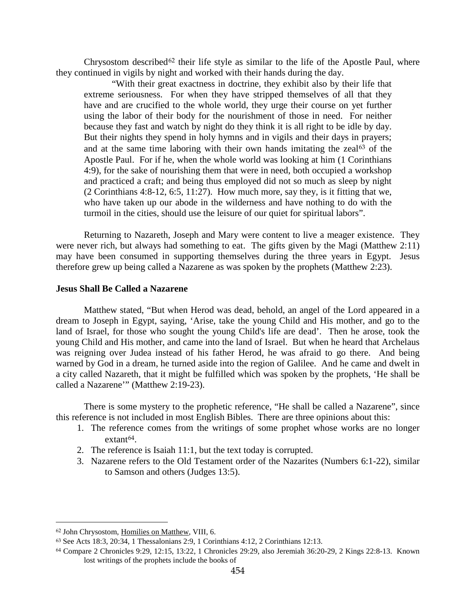Chrysostom described<sup>[62](#page-31-1)</sup> their life style as similar to the life of the Apostle Paul, where they continued in vigils by night and worked with their hands during the day.

"With their great exactness in doctrine, they exhibit also by their life that extreme seriousness. For when they have stripped themselves of all that they have and are crucified to the whole world, they urge their course on yet further using the labor of their body for the nourishment of those in need. For neither because they fast and watch by night do they think it is all right to be idle by day. But their nights they spend in holy hymns and in vigils and their days in prayers; and at the same time laboring with their own hands imitating the zeal<sup>[63](#page-31-2)</sup> of the Apostle Paul. For if he, when the whole world was looking at him (1 Corinthians 4:9), for the sake of nourishing them that were in need, both occupied a workshop and practiced a craft; and being thus employed did not so much as sleep by night (2 Corinthians 4:8-12, 6:5, 11:27). How much more, say they, is it fitting that we, who have taken up our abode in the wilderness and have nothing to do with the turmoil in the cities, should use the leisure of our quiet for spiritual labors".

Returning to Nazareth, Joseph and Mary were content to live a meager existence. They were never rich, but always had something to eat. The gifts given by the Magi (Matthew 2:11) may have been consumed in supporting themselves during the three years in Egypt. Jesus therefore grew up being called a Nazarene as was spoken by the prophets (Matthew 2:23).

# <span id="page-31-0"></span>**Jesus Shall Be Called a Nazarene**

Matthew stated, "But when Herod was dead, behold, an angel of the Lord appeared in a dream to Joseph in Egypt, saying, 'Arise, take the young Child and His mother, and go to the land of Israel, for those who sought the young Child's life are dead'. Then he arose, took the young Child and His mother, and came into the land of Israel. But when he heard that Archelaus was reigning over Judea instead of his father Herod, he was afraid to go there. And being warned by God in a dream, he turned aside into the region of Galilee. And he came and dwelt in a city called Nazareth, that it might be fulfilled which was spoken by the prophets, 'He shall be called a Nazarene'" (Matthew 2:19-23).

There is some mystery to the prophetic reference, "He shall be called a Nazarene", since this reference is not included in most English Bibles. There are three opinions about this:

- 1. The reference comes from the writings of some prophet whose works are no longer  $extant<sup>64</sup>$  $extant<sup>64</sup>$  $extant<sup>64</sup>$ .
- 2. The reference is Isaiah 11:1, but the text today is corrupted.
- 3. Nazarene refers to the Old Testament order of the Nazarites (Numbers 6:1-22), similar to Samson and others (Judges 13:5).

<span id="page-31-1"></span> <sup>62</sup> John Chrysostom, Homilies on Matthew, VIII, 6.

<span id="page-31-2"></span><sup>63</sup> See Acts 18:3, 20:34, 1 Thessalonians 2:9, 1 Corinthians 4:12, 2 Corinthians 12:13.

<span id="page-31-3"></span><sup>64</sup> Compare 2 Chronicles 9:29, 12:15, 13:22, 1 Chronicles 29:29, also Jeremiah 36:20-29, 2 Kings 22:8-13. Known lost writings of the prophets include the books of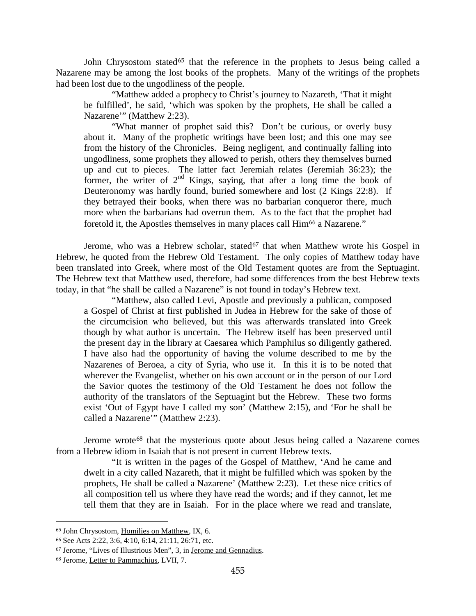John Chrysostom stated<sup>[65](#page-32-0)</sup> that the reference in the prophets to Jesus being called a Nazarene may be among the lost books of the prophets. Many of the writings of the prophets had been lost due to the ungodliness of the people.

"Matthew added a prophecy to Christ's journey to Nazareth, 'That it might be fulfilled', he said, 'which was spoken by the prophets, He shall be called a Nazarene'" (Matthew 2:23).

"What manner of prophet said this? Don't be curious, or overly busy about it. Many of the prophetic writings have been lost; and this one may see from the history of the Chronicles. Being negligent, and continually falling into ungodliness, some prophets they allowed to perish, others they themselves burned up and cut to pieces. The latter fact Jeremiah relates (Jeremiah 36:23); the former, the writer of  $2<sup>nd</sup>$  Kings, saying, that after a long time the book of Deuteronomy was hardly found, buried somewhere and lost (2 Kings 22:8). If they betrayed their books, when there was no barbarian conqueror there, much more when the barbarians had overrun them. As to the fact that the prophet had foretold it, the Apostles themselves in many places call Him<sup>[66](#page-32-1)</sup> a Nazarene."

Jerome, who was a Hebrew scholar, stated<sup>[67](#page-32-2)</sup> that when Matthew wrote his Gospel in Hebrew, he quoted from the Hebrew Old Testament. The only copies of Matthew today have been translated into Greek, where most of the Old Testament quotes are from the Septuagint. The Hebrew text that Matthew used, therefore, had some differences from the best Hebrew texts today, in that "he shall be called a Nazarene" is not found in today's Hebrew text.

"Matthew, also called Levi, Apostle and previously a publican, composed a Gospel of Christ at first published in Judea in Hebrew for the sake of those of the circumcision who believed, but this was afterwards translated into Greek though by what author is uncertain. The Hebrew itself has been preserved until the present day in the library at Caesarea which Pamphilus so diligently gathered. I have also had the opportunity of having the volume described to me by the Nazarenes of Beroea, a city of Syria, who use it. In this it is to be noted that wherever the Evangelist, whether on his own account or in the person of our Lord the Savior quotes the testimony of the Old Testament he does not follow the authority of the translators of the Septuagint but the Hebrew. These two forms exist 'Out of Egypt have I called my son' (Matthew 2:15), and 'For he shall be called a Nazarene"" (Matthew 2:23).

Jerome wrote<sup>[68](#page-32-3)</sup> that the mysterious quote about Jesus being called a Nazarene comes from a Hebrew idiom in Isaiah that is not present in current Hebrew texts.

"It is written in the pages of the Gospel of Matthew, 'And he came and dwelt in a city called Nazareth, that it might be fulfilled which was spoken by the prophets, He shall be called a Nazarene' (Matthew 2:23). Let these nice critics of all composition tell us where they have read the words; and if they cannot, let me tell them that they are in Isaiah. For in the place where we read and translate,

<span id="page-32-0"></span> <sup>65</sup> John Chrysostom, Homilies on Matthew, IX, 6.

<span id="page-32-1"></span><sup>66</sup> See Acts 2:22, 3:6, 4:10, 6:14, 21:11, 26:71, etc.

<span id="page-32-2"></span><sup>67</sup> Jerome, "Lives of Illustrious Men", 3, in Jerome and Gennadius.

<span id="page-32-3"></span><sup>68</sup> Jerome, Letter to Pammachius, LVII, 7.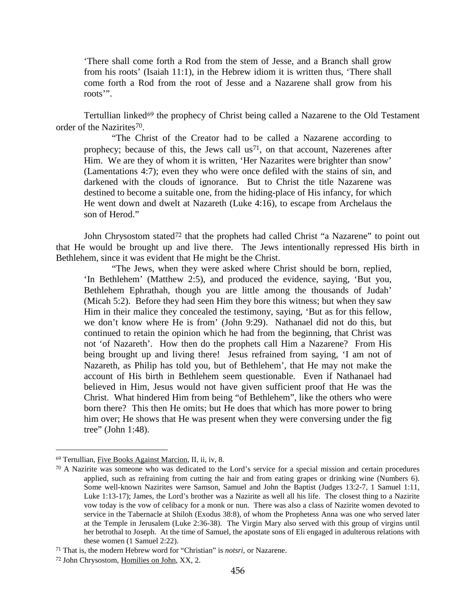'There shall come forth a Rod from the stem of Jesse, and a Branch shall grow from his roots' (Isaiah 11:1), in the Hebrew idiom it is written thus, 'There shall come forth a Rod from the root of Jesse and a Nazarene shall grow from his roots'".

Tertullian linked<sup>[69](#page-33-0)</sup> the prophecy of Christ being called a Nazarene to the Old Testament order of the Nazirites<sup>[70](#page-33-1)</sup>.

"The Christ of the Creator had to be called a Nazarene according to prophecy; because of this, the Jews call  $\mu s^{71}$  $\mu s^{71}$  $\mu s^{71}$ , on that account, Nazerenes after Him. We are they of whom it is written, 'Her Nazarites were brighter than snow' (Lamentations 4:7); even they who were once defiled with the stains of sin, and darkened with the clouds of ignorance. But to Christ the title Nazarene was destined to become a suitable one, from the hiding-place of His infancy, for which He went down and dwelt at Nazareth (Luke 4:16), to escape from Archelaus the son of Herod."

John Chrysostom stated<sup>[72](#page-33-3)</sup> that the prophets had called Christ "a Nazarene" to point out that He would be brought up and live there. The Jews intentionally repressed His birth in Bethlehem, since it was evident that He might be the Christ.

"The Jews, when they were asked where Christ should be born, replied, 'In Bethlehem' (Matthew 2:5), and produced the evidence, saying, 'But you, Bethlehem Ephrathah, though you are little among the thousands of Judah' (Micah 5:2). Before they had seen Him they bore this witness; but when they saw Him in their malice they concealed the testimony, saying, 'But as for this fellow, we don't know where He is from' (John 9:29). Nathanael did not do this, but continued to retain the opinion which he had from the beginning, that Christ was not 'of Nazareth'. How then do the prophets call Him a Nazarene? From His being brought up and living there! Jesus refrained from saying, 'I am not of Nazareth, as Philip has told you, but of Bethlehem', that He may not make the account of His birth in Bethlehem seem questionable. Even if Nathanael had believed in Him, Jesus would not have given sufficient proof that He was the Christ. What hindered Him from being "of Bethlehem", like the others who were born there? This then He omits; but He does that which has more power to bring him over; He shows that He was present when they were conversing under the fig tree" (John 1:48).

<span id="page-33-0"></span> <sup>69</sup> Tertullian, Five Books Against Marcion, II, ii, iv, 8.

<span id="page-33-1"></span><sup>70</sup> A Nazirite was someone who was dedicated to the Lord's service for a special mission and certain procedures applied, such as refraining from cutting the hair and from eating grapes or drinking wine (Numbers 6). Some well-known Nazirites were Samson, Samuel and John the Baptist (Judges 13:2-7, 1 Samuel 1:11, Luke 1:13-17); James, the Lord's brother was a Nazirite as well all his life. The closest thing to a Nazirite vow today is the vow of celibacy for a monk or nun. There was also a class of Nazirite women devoted to service in the Tabernacle at Shiloh (Exodus 38:8), of whom the Prophetess Anna was one who served later at the Temple in Jerusalem (Luke 2:36-38). The Virgin Mary also served with this group of virgins until her betrothal to Joseph. At the time of Samuel, the apostate sons of Eli engaged in adulterous relations with these women (1 Samuel 2:22).

<span id="page-33-2"></span><sup>71</sup> That is, the modern Hebrew word for "Christian" is *notsri*, or Nazarene.

<span id="page-33-3"></span><sup>72</sup> John Chrysostom, Homilies on John, XX, 2.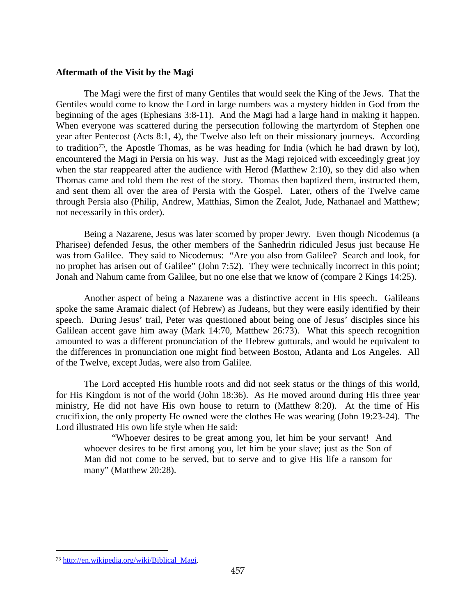# <span id="page-34-0"></span>**Aftermath of the Visit by the Magi**

The Magi were the first of many Gentiles that would seek the King of the Jews. That the Gentiles would come to know the Lord in large numbers was a mystery hidden in God from the beginning of the ages (Ephesians 3:8-11). And the Magi had a large hand in making it happen. When everyone was scattered during the persecution following the martyrdom of Stephen one year after Pentecost (Acts 8:1, 4), the Twelve also left on their missionary journeys. According to tradition[73](#page-34-1), the Apostle Thomas, as he was heading for India (which he had drawn by lot), encountered the Magi in Persia on his way. Just as the Magi rejoiced with exceedingly great joy when the star reappeared after the audience with Herod (Matthew 2:10), so they did also when Thomas came and told them the rest of the story. Thomas then baptized them, instructed them, and sent them all over the area of Persia with the Gospel. Later, others of the Twelve came through Persia also (Philip, Andrew, Matthias, Simon the Zealot, Jude, Nathanael and Matthew; not necessarily in this order).

Being a Nazarene, Jesus was later scorned by proper Jewry. Even though Nicodemus (a Pharisee) defended Jesus, the other members of the Sanhedrin ridiculed Jesus just because He was from Galilee. They said to Nicodemus: "Are you also from Galilee? Search and look, for no prophet has arisen out of Galilee" (John 7:52). They were technically incorrect in this point; Jonah and Nahum came from Galilee, but no one else that we know of (compare 2 Kings 14:25).

Another aspect of being a Nazarene was a distinctive accent in His speech. Galileans spoke the same Aramaic dialect (of Hebrew) as Judeans, but they were easily identified by their speech. During Jesus' trail, Peter was questioned about being one of Jesus' disciples since his Galilean accent gave him away (Mark 14:70, Matthew 26:73). What this speech recognition amounted to was a different pronunciation of the Hebrew gutturals, and would be equivalent to the differences in pronunciation one might find between Boston, Atlanta and Los Angeles. All of the Twelve, except Judas, were also from Galilee.

The Lord accepted His humble roots and did not seek status or the things of this world, for His Kingdom is not of the world (John 18:36). As He moved around during His three year ministry, He did not have His own house to return to (Matthew 8:20). At the time of His crucifixion, the only property He owned were the clothes He was wearing (John 19:23-24). The Lord illustrated His own life style when He said:

"Whoever desires to be great among you, let him be your servant! And whoever desires to be first among you, let him be your slave; just as the Son of Man did not come to be served, but to serve and to give His life a ransom for many" (Matthew 20:28).

<span id="page-34-1"></span> <sup>73</sup> [http://en.wikipedia.org/wiki/Biblical\\_Magi.](http://en.wikipedia.org/wiki/Biblical_Magi)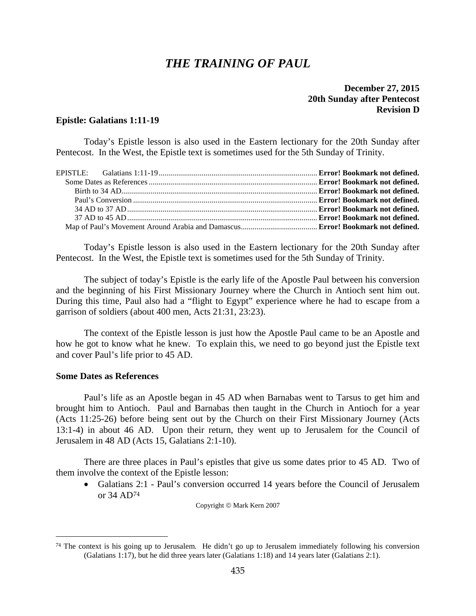# *THE TRAINING OF PAUL*

# **December 27, 2015 20th Sunday after Pentecost Revision D**

# **Epistle: Galatians 1:11-19**

Today's Epistle lesson is also used in the Eastern lectionary for the 20th Sunday after Pentecost. In the West, the Epistle text is sometimes used for the 5th Sunday of Trinity.

Today's Epistle lesson is also used in the Eastern lectionary for the 20th Sunday after Pentecost. In the West, the Epistle text is sometimes used for the 5th Sunday of Trinity.

The subject of today's Epistle is the early life of the Apostle Paul between his conversion and the beginning of his First Missionary Journey where the Church in Antioch sent him out. During this time, Paul also had a "flight to Egypt" experience where he had to escape from a garrison of soldiers (about 400 men, Acts 21:31, 23:23).

The context of the Epistle lesson is just how the Apostle Paul came to be an Apostle and how he got to know what he knew. To explain this, we need to go beyond just the Epistle text and cover Paul's life prior to 45 AD.

# **Some Dates as References**

Paul's life as an Apostle began in 45 AD when Barnabas went to Tarsus to get him and brought him to Antioch. Paul and Barnabas then taught in the Church in Antioch for a year (Acts 11:25-26) before being sent out by the Church on their First Missionary Journey (Acts 13:1-4) in about 46 AD. Upon their return, they went up to Jerusalem for the Council of Jerusalem in 48 AD (Acts 15, Galatians 2:1-10).

There are three places in Paul's epistles that give us some dates prior to 45 AD. Two of them involve the context of the Epistle lesson:

• Galatians 2:1 - Paul's conversion occurred 14 years before the Council of Jerusalem or 34 AD[74](#page-35-0)

Copyright © Mark Kern 2007

<span id="page-35-0"></span> $74$  The context is his going up to Jerusalem. He didn't go up to Jerusalem immediately following his conversion (Galatians 1:17), but he did three years later (Galatians 1:18) and 14 years later (Galatians 2:1).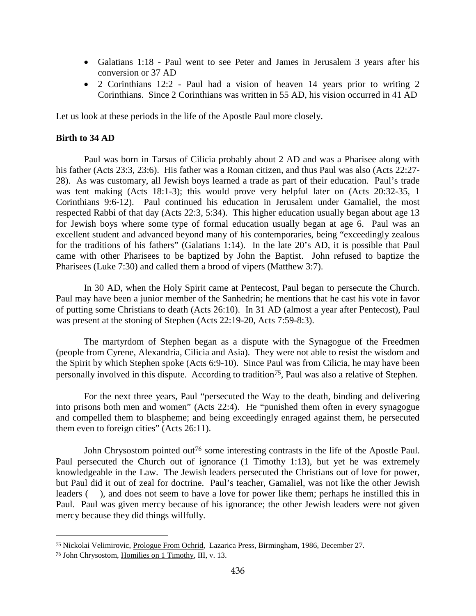- Galatians 1:18 Paul went to see Peter and James in Jerusalem 3 years after his conversion or 37 AD
- 2 Corinthians 12:2 Paul had a vision of heaven 14 years prior to writing 2 Corinthians. Since 2 Corinthians was written in 55 AD, his vision occurred in 41 AD

Let us look at these periods in the life of the Apostle Paul more closely.

# **Birth to 34 AD**

Paul was born in Tarsus of Cilicia probably about 2 AD and was a Pharisee along with his father (Acts 23:3, 23:6). His father was a Roman citizen, and thus Paul was also (Acts 22:27- 28). As was customary, all Jewish boys learned a trade as part of their education. Paul's trade was tent making (Acts 18:1-3); this would prove very helpful later on (Acts 20:32-35, 1 Corinthians 9:6-12). Paul continued his education in Jerusalem under Gamaliel, the most respected Rabbi of that day (Acts 22:3, 5:34). This higher education usually began about age 13 for Jewish boys where some type of formal education usually began at age 6. Paul was an excellent student and advanced beyond many of his contemporaries, being "exceedingly zealous for the traditions of his fathers" (Galatians 1:14). In the late 20's AD, it is possible that Paul came with other Pharisees to be baptized by John the Baptist. John refused to baptize the Pharisees (Luke 7:30) and called them a brood of vipers (Matthew 3:7).

In 30 AD, when the Holy Spirit came at Pentecost, Paul began to persecute the Church. Paul may have been a junior member of the Sanhedrin; he mentions that he cast his vote in favor of putting some Christians to death (Acts 26:10). In 31 AD (almost a year after Pentecost), Paul was present at the stoning of Stephen (Acts 22:19-20, Acts 7:59-8:3).

The martyrdom of Stephen began as a dispute with the Synagogue of the Freedmen (people from Cyrene, Alexandria, Cilicia and Asia). They were not able to resist the wisdom and the Spirit by which Stephen spoke (Acts 6:9-10). Since Paul was from Cilicia, he may have been personally involved in this dispute. According to tradition[75](#page-36-0), Paul was also a relative of Stephen.

For the next three years, Paul "persecuted the Way to the death, binding and delivering into prisons both men and women" (Acts 22:4). He "punished them often in every synagogue and compelled them to blaspheme; and being exceedingly enraged against them, he persecuted them even to foreign cities" (Acts 26:11).

John Chrysostom pointed out<sup>[76](#page-36-1)</sup> some interesting contrasts in the life of the Apostle Paul. Paul persecuted the Church out of ignorance (1 Timothy 1:13), but yet he was extremely knowledgeable in the Law. The Jewish leaders persecuted the Christians out of love for power, but Paul did it out of zeal for doctrine. Paul's teacher, Gamaliel, was not like the other Jewish leaders ( ), and does not seem to have a love for power like them; perhaps he instilled this in Paul. Paul was given mercy because of his ignorance; the other Jewish leaders were not given mercy because they did things willfully.

<span id="page-36-0"></span> <sup>75</sup> Nickolai Velimirovic, Prologue From Ochrid, Lazarica Press, Birmingham, 1986, December 27.

<span id="page-36-1"></span><sup>76</sup> John Chrysostom, Homilies on 1 Timothy, III, v. 13.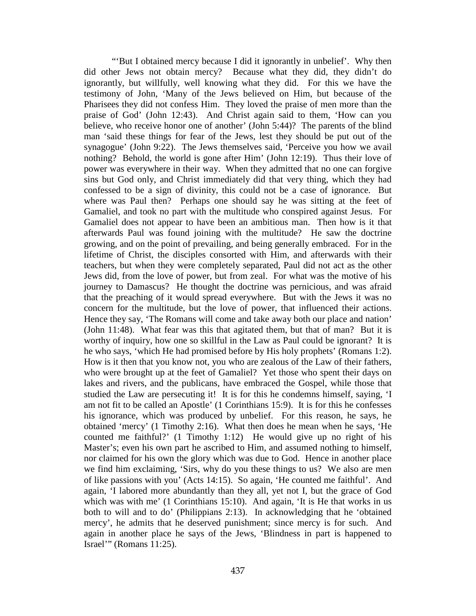"'But I obtained mercy because I did it ignorantly in unbelief'. Why then did other Jews not obtain mercy? Because what they did, they didn't do ignorantly, but willfully, well knowing what they did. For this we have the testimony of John, 'Many of the Jews believed on Him, but because of the Pharisees they did not confess Him. They loved the praise of men more than the praise of God' (John 12:43). And Christ again said to them, 'How can you believe, who receive honor one of another' (John 5:44)? The parents of the blind man 'said these things for fear of the Jews, lest they should be put out of the synagogue' (John 9:22). The Jews themselves said, 'Perceive you how we avail nothing? Behold, the world is gone after Him' (John 12:19). Thus their love of power was everywhere in their way. When they admitted that no one can forgive sins but God only, and Christ immediately did that very thing, which they had confessed to be a sign of divinity, this could not be a case of ignorance. But where was Paul then? Perhaps one should say he was sitting at the feet of Gamaliel, and took no part with the multitude who conspired against Jesus. For Gamaliel does not appear to have been an ambitious man. Then how is it that afterwards Paul was found joining with the multitude? He saw the doctrine growing, and on the point of prevailing, and being generally embraced. For in the lifetime of Christ, the disciples consorted with Him, and afterwards with their teachers, but when they were completely separated, Paul did not act as the other Jews did, from the love of power, but from zeal. For what was the motive of his journey to Damascus? He thought the doctrine was pernicious, and was afraid that the preaching of it would spread everywhere. But with the Jews it was no concern for the multitude, but the love of power, that influenced their actions. Hence they say, 'The Romans will come and take away both our place and nation' (John 11:48). What fear was this that agitated them, but that of man? But it is worthy of inquiry, how one so skillful in the Law as Paul could be ignorant? It is he who says, 'which He had promised before by His holy prophets' (Romans 1:2). How is it then that you know not, you who are zealous of the Law of their fathers, who were brought up at the feet of Gamaliel? Yet those who spent their days on lakes and rivers, and the publicans, have embraced the Gospel, while those that studied the Law are persecuting it! It is for this he condemns himself, saying, 'I am not fit to be called an Apostle' (1 Corinthians 15:9). It is for this he confesses his ignorance, which was produced by unbelief. For this reason, he says, he obtained 'mercy' (1 Timothy 2:16). What then does he mean when he says, 'He counted me faithful?' (1 Timothy 1:12) He would give up no right of his Master's; even his own part he ascribed to Him, and assumed nothing to himself, nor claimed for his own the glory which was due to God. Hence in another place we find him exclaiming, 'Sirs, why do you these things to us? We also are men of like passions with you' (Acts 14:15). So again, 'He counted me faithful'. And again, 'I labored more abundantly than they all, yet not I, but the grace of God which was with me' (1 Corinthians 15:10). And again, 'It is He that works in us both to will and to do' (Philippians 2:13). In acknowledging that he 'obtained mercy', he admits that he deserved punishment; since mercy is for such. And again in another place he says of the Jews, 'Blindness in part is happened to Israel'" (Romans 11:25).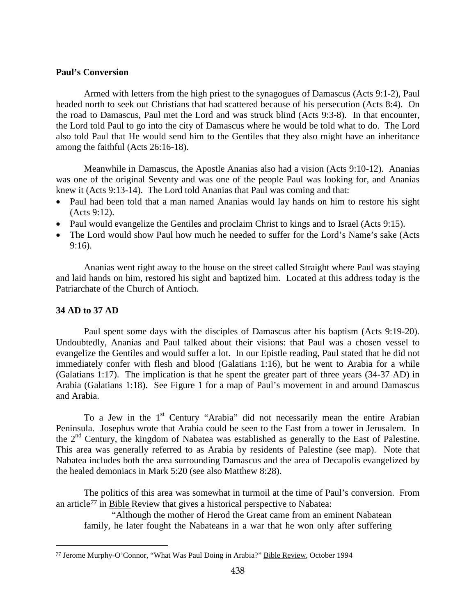# **Paul's Conversion**

Armed with letters from the high priest to the synagogues of Damascus (Acts 9:1-2), Paul headed north to seek out Christians that had scattered because of his persecution (Acts 8:4). On the road to Damascus, Paul met the Lord and was struck blind (Acts 9:3-8). In that encounter, the Lord told Paul to go into the city of Damascus where he would be told what to do. The Lord also told Paul that He would send him to the Gentiles that they also might have an inheritance among the faithful (Acts 26:16-18).

Meanwhile in Damascus, the Apostle Ananias also had a vision (Acts 9:10-12). Ananias was one of the original Seventy and was one of the people Paul was looking for, and Ananias knew it (Acts 9:13-14). The Lord told Ananias that Paul was coming and that:

- Paul had been told that a man named Ananias would lay hands on him to restore his sight (Acts 9:12).
- Paul would evangelize the Gentiles and proclaim Christ to kings and to Israel (Acts 9:15).
- The Lord would show Paul how much he needed to suffer for the Lord's Name's sake (Acts 9:16).

Ananias went right away to the house on the street called Straight where Paul was staying and laid hands on him, restored his sight and baptized him. Located at this address today is the Patriarchate of the Church of Antioch.

# **34 AD to 37 AD**

Paul spent some days with the disciples of Damascus after his baptism (Acts 9:19-20). Undoubtedly, Ananias and Paul talked about their visions: that Paul was a chosen vessel to evangelize the Gentiles and would suffer a lot. In our Epistle reading, Paul stated that he did not immediately confer with flesh and blood (Galatians 1:16), but he went to Arabia for a while (Galatians 1:17). The implication is that he spent the greater part of three years (34-37 AD) in Arabia (Galatians 1:18). See Figure 1 for a map of Paul's movement in and around Damascus and Arabia.

To a Jew in the 1<sup>st</sup> Century "Arabia" did not necessarily mean the entire Arabian Peninsula. Josephus wrote that Arabia could be seen to the East from a tower in Jerusalem. In the  $2<sup>nd</sup>$  Century, the kingdom of Nabatea was established as generally to the East of Palestine. This area was generally referred to as Arabia by residents of Palestine (see map). Note that Nabatea includes both the area surrounding Damascus and the area of Decapolis evangelized by the healed demoniacs in Mark 5:20 (see also Matthew 8:28).

The politics of this area was somewhat in turmoil at the time of Paul's conversion. From an article[77](#page-38-0) in Bible Review that gives a historical perspective to Nabatea:

"Although the mother of Herod the Great came from an eminent Nabatean family, he later fought the Nabateans in a war that he won only after suffering

<span id="page-38-0"></span> <sup>77</sup> Jerome Murphy-O'Connor, "What Was Paul Doing in Arabia?" Bible Review, October 1994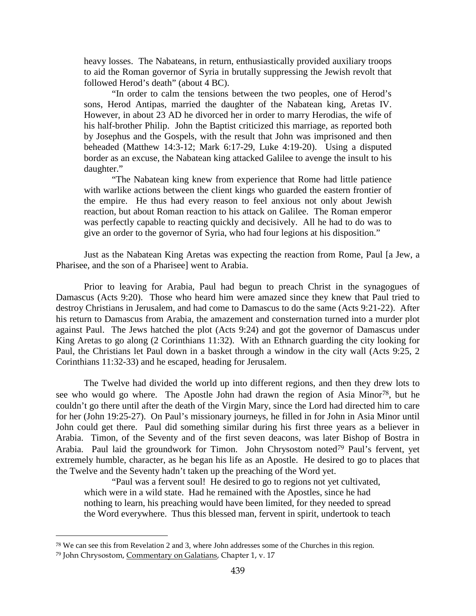heavy losses. The Nabateans, in return, enthusiastically provided auxiliary troops to aid the Roman governor of Syria in brutally suppressing the Jewish revolt that followed Herod's death" (about 4 BC).

"In order to calm the tensions between the two peoples, one of Herod's sons, Herod Antipas, married the daughter of the Nabatean king, Aretas IV. However, in about 23 AD he divorced her in order to marry Herodias, the wife of his half-brother Philip. John the Baptist criticized this marriage, as reported both by Josephus and the Gospels, with the result that John was imprisoned and then beheaded (Matthew 14:3-12; Mark 6:17-29, Luke 4:19-20). Using a disputed border as an excuse, the Nabatean king attacked Galilee to avenge the insult to his daughter."

"The Nabatean king knew from experience that Rome had little patience with warlike actions between the client kings who guarded the eastern frontier of the empire. He thus had every reason to feel anxious not only about Jewish reaction, but about Roman reaction to his attack on Galilee. The Roman emperor was perfectly capable to reacting quickly and decisively. All he had to do was to give an order to the governor of Syria, who had four legions at his disposition."

Just as the Nabatean King Aretas was expecting the reaction from Rome, Paul [a Jew, a Pharisee, and the son of a Pharisee] went to Arabia.

Prior to leaving for Arabia, Paul had begun to preach Christ in the synagogues of Damascus (Acts 9:20). Those who heard him were amazed since they knew that Paul tried to destroy Christians in Jerusalem, and had come to Damascus to do the same (Acts 9:21-22). After his return to Damascus from Arabia, the amazement and consternation turned into a murder plot against Paul. The Jews hatched the plot (Acts 9:24) and got the governor of Damascus under King Aretas to go along (2 Corinthians 11:32). With an Ethnarch guarding the city looking for Paul, the Christians let Paul down in a basket through a window in the city wall (Acts 9:25, 2 Corinthians 11:32-33) and he escaped, heading for Jerusalem.

The Twelve had divided the world up into different regions, and then they drew lots to see who would go where. The Apostle John had drawn the region of Asia Minor<sup>[78](#page-39-0)</sup>, but he couldn't go there until after the death of the Virgin Mary, since the Lord had directed him to care for her (John 19:25-27). On Paul's missionary journeys, he filled in for John in Asia Minor until John could get there. Paul did something similar during his first three years as a believer in Arabia. Timon, of the Seventy and of the first seven deacons, was later Bishop of Bostra in Arabia. Paul laid the groundwork for Timon. John Chrysostom noted<sup>[79](#page-39-1)</sup> Paul's fervent, yet extremely humble, character, as he began his life as an Apostle. He desired to go to places that the Twelve and the Seventy hadn't taken up the preaching of the Word yet.

"Paul was a fervent soul! He desired to go to regions not yet cultivated, which were in a wild state. Had he remained with the Apostles, since he had nothing to learn, his preaching would have been limited, for they needed to spread the Word everywhere. Thus this blessed man, fervent in spirit, undertook to teach

<span id="page-39-0"></span> <sup>78</sup> We can see this from Revelation 2 and 3, where John addresses some of the Churches in this region.

<span id="page-39-1"></span><sup>79</sup> John Chrysostom, Commentary on Galatians, Chapter 1, v. 17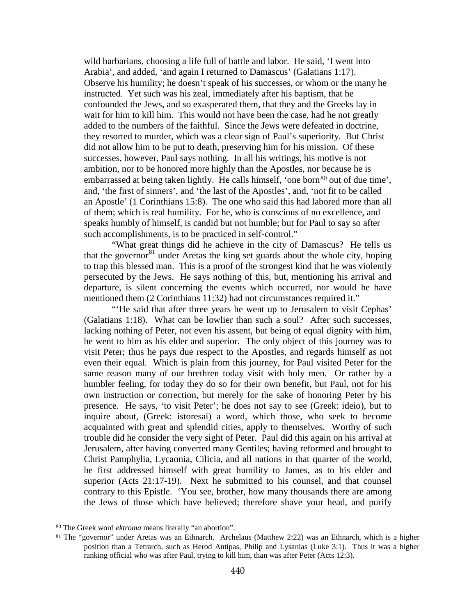wild barbarians, choosing a life full of battle and labor. He said, 'I went into Arabia', and added, 'and again I returned to Damascus' (Galatians 1:17). Observe his humility; he doesn't speak of his successes, or whom or the many he instructed. Yet such was his zeal, immediately after his baptism, that he confounded the Jews, and so exasperated them, that they and the Greeks lay in wait for him to kill him. This would not have been the case, had he not greatly added to the numbers of the faithful. Since the Jews were defeated in doctrine, they resorted to murder, which was a clear sign of Paul's superiority. But Christ did not allow him to be put to death, preserving him for his mission. Of these successes, however, Paul says nothing. In all his writings, his motive is not ambition, nor to be honored more highly than the Apostles, nor because he is embarrassed at being taken lightly. He calls himself, 'one born<sup>[80](#page-40-0)</sup> out of due time', and, 'the first of sinners', and 'the last of the Apostles', and, 'not fit to be called an Apostle' (1 Corinthians 15:8). The one who said this had labored more than all of them; which is real humility. For he, who is conscious of no excellence, and speaks humbly of himself, is candid but not humble; but for Paul to say so after such accomplishments, is to be practiced in self-control."

"What great things did he achieve in the city of Damascus? He tells us that the governor $81$  under Aretas the king set guards about the whole city, hoping to trap this blessed man. This is a proof of the strongest kind that he was violently persecuted by the Jews. He says nothing of this, but, mentioning his arrival and departure, is silent concerning the events which occurred, nor would he have mentioned them (2 Corinthians 11:32) had not circumstances required it."

"'He said that after three years he went up to Jerusalem to visit Cephas' (Galatians 1:18). What can be lowlier than such a soul? After such successes, lacking nothing of Peter, not even his assent, but being of equal dignity with him, he went to him as his elder and superior. The only object of this journey was to visit Peter; thus he pays due respect to the Apostles, and regards himself as not even their equal. Which is plain from this journey, for Paul visited Peter for the same reason many of our brethren today visit with holy men. Or rather by a humbler feeling, for today they do so for their own benefit, but Paul, not for his own instruction or correction, but merely for the sake of honoring Peter by his presence. He says, 'to visit Peter'; he does not say to see (Greek: ideio), but to inquire about, (Greek: istoresai) a word, which those, who seek to become acquainted with great and splendid cities, apply to themselves. Worthy of such trouble did he consider the very sight of Peter. Paul did this again on his arrival at Jerusalem, after having converted many Gentiles; having reformed and brought to Christ Pamphylia, Lycaonia, Cilicia, and all nations in that quarter of the world, he first addressed himself with great humility to James, as to his elder and superior (Acts 21:17-19). Next he submitted to his counsel, and that counsel contrary to this Epistle. 'You see, brother, how many thousands there are among the Jews of those which have believed; therefore shave your head, and purify

<span id="page-40-0"></span> <sup>80</sup> The Greek word *ektroma* means literally "an abortion".

<span id="page-40-1"></span><sup>81</sup> The "governor" under Aretas was an Ethnarch. Archelaus (Matthew 2:22) was an Ethnarch, which is a higher position than a Tetrarch, such as Herod Antipas, Philip and Lysanias (Luke 3:1). Thus it was a higher ranking official who was after Paul, trying to kill him, than was after Peter (Acts 12:3).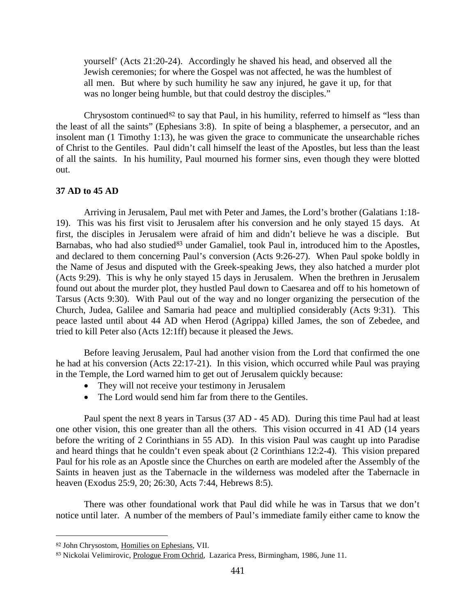yourself' (Acts 21:20-24). Accordingly he shaved his head, and observed all the Jewish ceremonies; for where the Gospel was not affected, he was the humblest of all men. But where by such humility he saw any injured, he gave it up, for that was no longer being humble, but that could destroy the disciples."

Chrysostom continued<sup>[82](#page-41-0)</sup> to say that Paul, in his humility, referred to himself as "less than the least of all the saints" (Ephesians 3:8). In spite of being a blasphemer, a persecutor, and an insolent man (1 Timothy 1:13), he was given the grace to communicate the unsearchable riches of Christ to the Gentiles. Paul didn't call himself the least of the Apostles, but less than the least of all the saints. In his humility, Paul mourned his former sins, even though they were blotted out.

# **37 AD to 45 AD**

Arriving in Jerusalem, Paul met with Peter and James, the Lord's brother (Galatians 1:18- 19). This was his first visit to Jerusalem after his conversion and he only stayed 15 days. At first, the disciples in Jerusalem were afraid of him and didn't believe he was a disciple. But Barnabas, who had also studied<sup>[83](#page-41-1)</sup> under Gamaliel, took Paul in, introduced him to the Apostles, and declared to them concerning Paul's conversion (Acts 9:26-27). When Paul spoke boldly in the Name of Jesus and disputed with the Greek-speaking Jews, they also hatched a murder plot (Acts 9:29). This is why he only stayed 15 days in Jerusalem. When the brethren in Jerusalem found out about the murder plot, they hustled Paul down to Caesarea and off to his hometown of Tarsus (Acts 9:30). With Paul out of the way and no longer organizing the persecution of the Church, Judea, Galilee and Samaria had peace and multiplied considerably (Acts 9:31). This peace lasted until about 44 AD when Herod (Agrippa) killed James, the son of Zebedee, and tried to kill Peter also (Acts 12:1ff) because it pleased the Jews.

Before leaving Jerusalem, Paul had another vision from the Lord that confirmed the one he had at his conversion (Acts 22:17-21). In this vision, which occurred while Paul was praying in the Temple, the Lord warned him to get out of Jerusalem quickly because:

- They will not receive your testimony in Jerusalem
- The Lord would send him far from there to the Gentiles.

Paul spent the next 8 years in Tarsus (37 AD - 45 AD). During this time Paul had at least one other vision, this one greater than all the others. This vision occurred in 41 AD (14 years before the writing of 2 Corinthians in 55 AD). In this vision Paul was caught up into Paradise and heard things that he couldn't even speak about (2 Corinthians 12:2-4). This vision prepared Paul for his role as an Apostle since the Churches on earth are modeled after the Assembly of the Saints in heaven just as the Tabernacle in the wilderness was modeled after the Tabernacle in heaven (Exodus 25:9, 20; 26:30, Acts 7:44, Hebrews 8:5).

There was other foundational work that Paul did while he was in Tarsus that we don't notice until later. A number of the members of Paul's immediate family either came to know the

<span id="page-41-0"></span> <sup>82</sup> John Chrysostom, Homilies on Ephesians, VII.

<span id="page-41-1"></span><sup>83</sup> Nickolai Velimirovic, Prologue From Ochrid, Lazarica Press, Birmingham, 1986, June 11.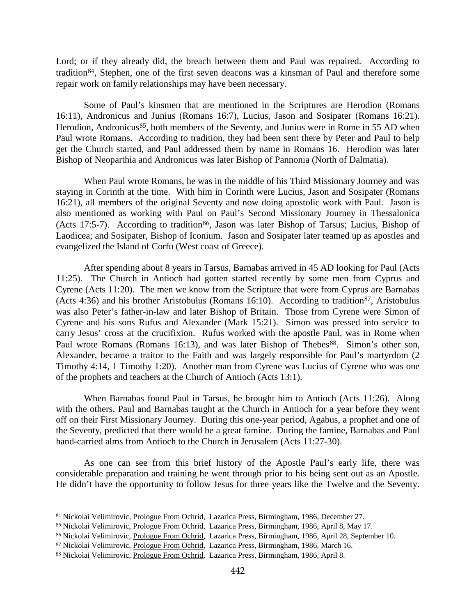Lord; or if they already did, the breach between them and Paul was repaired. According to tradition<sup>[84](#page-42-0)</sup>, Stephen, one of the first seven deacons was a kinsman of Paul and therefore some repair work on family relationships may have been necessary.

Some of Paul's kinsmen that are mentioned in the Scriptures are Herodion (Romans 16:11), Andronicus and Junius (Romans 16:7), Lucius, Jason and Sosipater (Romans 16:21). Herodion, Andronicus<sup>[85](#page-42-1)</sup>, both members of the Seventy, and Junius were in Rome in 55 AD when Paul wrote Romans. According to tradition, they had been sent there by Peter and Paul to help get the Church started, and Paul addressed them by name in Romans 16. Herodion was later Bishop of Neoparthia and Andronicus was later Bishop of Pannonia (North of Dalmatia).

When Paul wrote Romans, he was in the middle of his Third Missionary Journey and was staying in Corinth at the time. With him in Corinth were Lucius, Jason and Sosipater (Romans 16:21), all members of the original Seventy and now doing apostolic work with Paul. Jason is also mentioned as working with Paul on Paul's Second Missionary Journey in Thessalonica (Acts 17:5-7). According to tradition<sup>[86](#page-42-2)</sup>, Jason was later Bishop of Tarsus; Lucius, Bishop of Laodicea; and Sosipater, Bishop of Iconium. Jason and Sosipater later teamed up as apostles and evangelized the Island of Corfu (West coast of Greece).

After spending about 8 years in Tarsus, Barnabas arrived in 45 AD looking for Paul (Acts 11:25). The Church in Antioch had gotten started recently by some men from Cyprus and Cyrene (Acts 11:20). The men we know from the Scripture that were from Cyprus are Barnabas (Acts 4:36) and his brother Aristobulus (Romans 16:10). According to tradition<sup>[87](#page-42-3)</sup>, Aristobulus was also Peter's father-in-law and later Bishop of Britain. Those from Cyrene were Simon of Cyrene and his sons Rufus and Alexander (Mark 15:21). Simon was pressed into service to carry Jesus' cross at the crucifixion. Rufus worked with the apostle Paul, was in Rome when Paul wrote Romans (Romans 16:13), and was later Bishop of Thebes<sup>[88](#page-42-4)</sup>. Simon's other son, Alexander, became a traitor to the Faith and was largely responsible for Paul's martyrdom (2 Timothy 4:14, 1 Timothy 1:20). Another man from Cyrene was Lucius of Cyrene who was one of the prophets and teachers at the Church of Antioch (Acts 13:1).

When Barnabas found Paul in Tarsus, he brought him to Antioch (Acts 11:26). Along with the others, Paul and Barnabas taught at the Church in Antioch for a year before they went off on their First Missionary Journey. During this one-year period, Agabus, a prophet and one of the Seventy, predicted that there would be a great famine. During the famine, Barnabas and Paul hand-carried alms from Antioch to the Church in Jerusalem (Acts 11:27-30).

As one can see from this brief history of the Apostle Paul's early life, there was considerable preparation and training he went through prior to his being sent out as an Apostle. He didn't have the opportunity to follow Jesus for three years like the Twelve and the Seventy.

<span id="page-42-0"></span> <sup>84</sup> Nickolai Velimirovic, Prologue From Ochrid, Lazarica Press, Birmingham, 1986, December 27.

<span id="page-42-1"></span><sup>85</sup> Nickolai Velimirovic, Prologue From Ochrid, Lazarica Press, Birmingham, 1986, April 8, May 17.

<span id="page-42-2"></span><sup>86</sup> Nickolai Velimirovic, Prologue From Ochrid, Lazarica Press, Birmingham, 1986, April 28, September 10.

<span id="page-42-3"></span><sup>87</sup> Nickolai Velimirovic, Prologue From Ochrid, Lazarica Press, Birmingham, 1986, March 16.

<span id="page-42-4"></span><sup>88</sup> Nickolai Velimirovic, Prologue From Ochrid, Lazarica Press, Birmingham, 1986, April 8.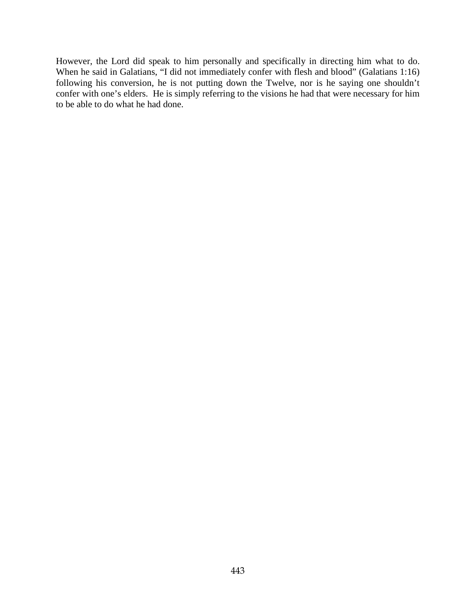However, the Lord did speak to him personally and specifically in directing him what to do. When he said in Galatians, "I did not immediately confer with flesh and blood" (Galatians 1:16) following his conversion, he is not putting down the Twelve, nor is he saying one shouldn't confer with one's elders. He is simply referring to the visions he had that were necessary for him to be able to do what he had done.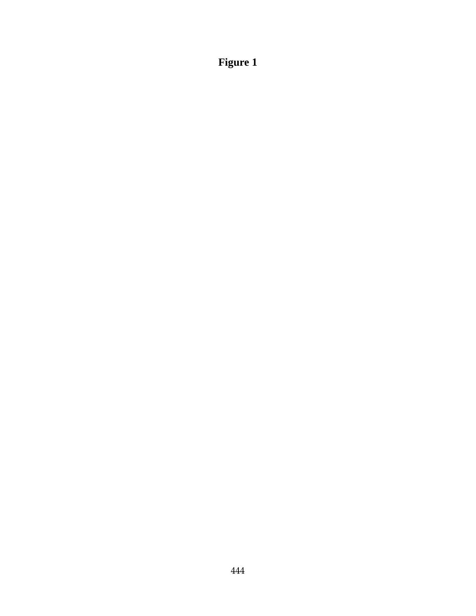# **Figure 1**